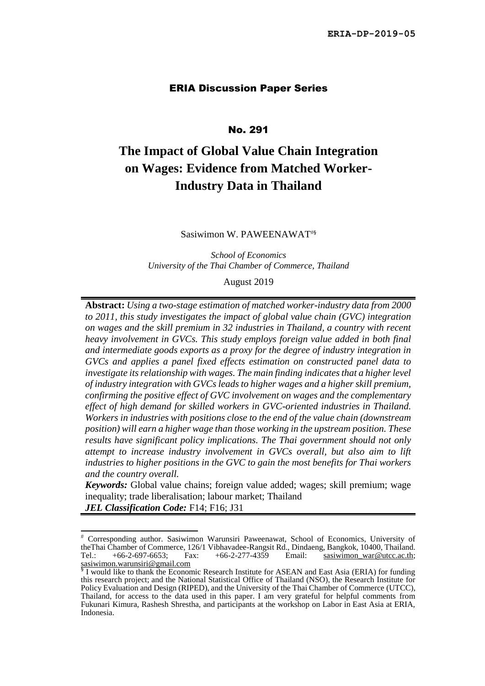## ERIA Discussion Paper Series

## No. 291

# **The Impact of Global Value Chain Integration on Wages: Evidence from Matched Worker-Industry Data in Thailand**

Sasiwimon W. PAWEENAWAT<sup>#§</sup>

*School of Economics University of the Thai Chamber of Commerce, Thailand*

August 2019

**Abstract:** *Using a two-stage estimation of matched worker-industry data from 2000 to 2011, this study investigates the impact of global value chain (GVC) integration on wages and the skill premium in 32 industries in Thailand, a country with recent heavy involvement in GVCs. This study employs foreign value added in both final and intermediate goods exports as a proxy for the degree of industry integration in GVCs and applies a panel fixed effects estimation on constructed panel data to investigate its relationship with wages. The main finding indicates that a higher level of industry integration with GVCs leads to higher wages and a higher skill premium, confirming the positive effect of GVC involvement on wages and the complementary effect of high demand for skilled workers in GVC-oriented industries in Thailand. Workers in industries with positions close to the end of the value chain (downstream position) will earn a higher wage than those working in the upstream position. These results have significant policy implications. The Thai government should not only attempt to increase industry involvement in GVCs overall, but also aim to lift industries to higher positions in the GVC to gain the most benefits for Thai workers and the country overall.* 

*Keywords:* Global value chains; foreign value added; wages; skill premium; wage inequality; trade liberalisation; labour market; Thailand *JEL Classification Code:* F14; F16; J31

 Corresponding author. Sasiwimon Warunsiri Paweenawat, School of Economics, University of theThai Chamber of Commerce, 126/1 Vibhavadee-Rangsit Rd., Dindaeng, Bangkok, 10400, Thailand. Tel.: +66-2-697-6653; Fax: +66-2-277-4359 Email: [sasiwimon\\_war@utcc.ac.th;](mailto:sasiwimon_war@utcc.ac.th)

sasiwimon.warunsiri@gmail.com<br><sup>§</sup> I would like to thank the Economic Research Institute for ASEAN and East Asia (ERIA) for funding this research project; and the National Statistical Office of Thailand (NSO), the Research Institute for Policy Evaluation and Design (RIPED), and the University of the Thai Chamber of Commerce (UTCC), Thailand, for access to the data used in this paper. I am very grateful for helpful comments from Fukunari Kimura, Rashesh Shrestha, and participants at the workshop on Labor in East Asia at ERIA, Indonesia.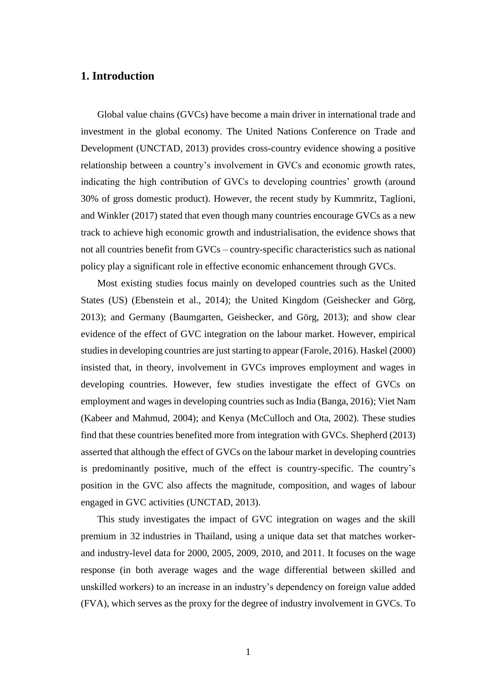# **1. Introduction**

Global value chains (GVCs) have become a main driver in international trade and investment in the global economy. The United Nations Conference on Trade and Development (UNCTAD, 2013) provides cross-country evidence showing a positive relationship between a country's involvement in GVCs and economic growth rates, indicating the high contribution of GVCs to developing countries' growth (around 30% of gross domestic product). However, the recent study by Kummritz, Taglioni, and Winkler (2017) stated that even though many countries encourage GVCs as a new track to achieve high economic growth and industrialisation, the evidence shows that not all countries benefit from GVCs – country-specific characteristics such as national policy play a significant role in effective economic enhancement through GVCs.

Most existing studies focus mainly on developed countries such as the United States (US) (Ebenstein et al., 2014); the United Kingdom (Geishecker and Görg, 2013); and Germany (Baumgarten, Geishecker, and Görg, 2013); and show clear evidence of the effect of GVC integration on the labour market. However, empirical studies in developing countries are just starting to appear (Farole, 2016). Haskel (2000) insisted that, in theory, involvement in GVCs improves employment and wages in developing countries. However, few studies investigate the effect of GVCs on employment and wages in developing countries such as India (Banga, 2016); Viet Nam (Kabeer and Mahmud, 2004); and Kenya (McCulloch and Ota, 2002). These studies find that these countries benefited more from integration with GVCs. Shepherd (2013) asserted that although the effect of GVCs on the labour market in developing countries is predominantly positive, much of the effect is country-specific. The country's position in the GVC also affects the magnitude, composition, and wages of labour engaged in GVC activities (UNCTAD, 2013).

This study investigates the impact of GVC integration on wages and the skill premium in 32 industries in Thailand, using a unique data set that matches workerand industry-level data for 2000, 2005, 2009, 2010, and 2011. It focuses on the wage response (in both average wages and the wage differential between skilled and unskilled workers) to an increase in an industry's dependency on foreign value added (FVA), which serves as the proxy for the degree of industry involvement in GVCs. To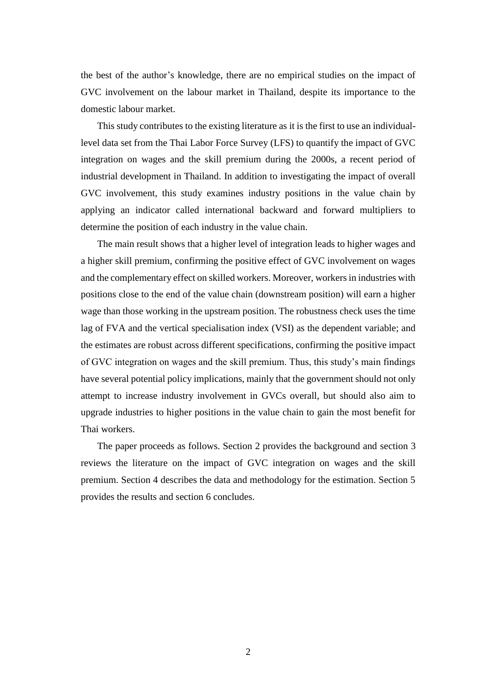the best of the author's knowledge, there are no empirical studies on the impact of GVC involvement on the labour market in Thailand, despite its importance to the domestic labour market.

This study contributes to the existing literature as it is the first to use an individuallevel data set from the Thai Labor Force Survey (LFS) to quantify the impact of GVC integration on wages and the skill premium during the 2000s, a recent period of industrial development in Thailand. In addition to investigating the impact of overall GVC involvement, this study examines industry positions in the value chain by applying an indicator called international backward and forward multipliers to determine the position of each industry in the value chain.

The main result shows that a higher level of integration leads to higher wages and a higher skill premium, confirming the positive effect of GVC involvement on wages and the complementary effect on skilled workers. Moreover, workers in industries with positions close to the end of the value chain (downstream position) will earn a higher wage than those working in the upstream position. The robustness check uses the time lag of FVA and the vertical specialisation index (VSI) as the dependent variable; and the estimates are robust across different specifications, confirming the positive impact of GVC integration on wages and the skill premium. Thus, this study's main findings have several potential policy implications, mainly that the government should not only attempt to increase industry involvement in GVCs overall, but should also aim to upgrade industries to higher positions in the value chain to gain the most benefit for Thai workers.

The paper proceeds as follows. Section 2 provides the background and section 3 reviews the literature on the impact of GVC integration on wages and the skill premium. Section 4 describes the data and methodology for the estimation. Section 5 provides the results and section 6 concludes.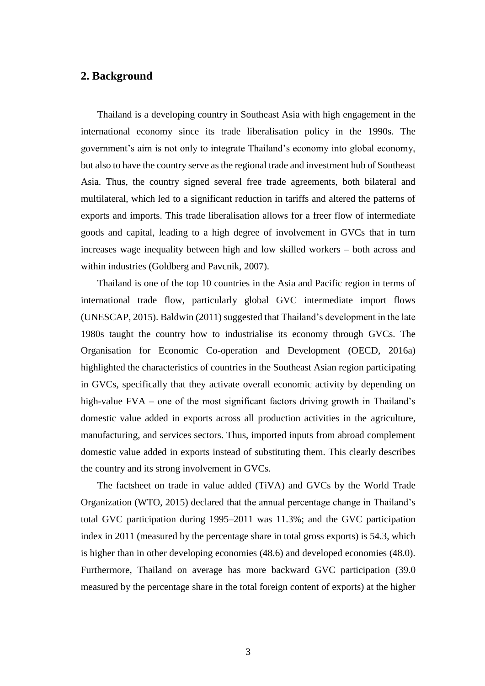# **2. Background**

Thailand is a developing country in Southeast Asia with high engagement in the international economy since its trade liberalisation policy in the 1990s. The government's aim is not only to integrate Thailand's economy into global economy, but also to have the country serve as the regional trade and investment hub of Southeast Asia. Thus, the country signed several free trade agreements, both bilateral and multilateral, which led to a significant reduction in tariffs and altered the patterns of exports and imports. This trade liberalisation allows for a freer flow of intermediate goods and capital, leading to a high degree of involvement in GVCs that in turn increases wage inequality between high and low skilled workers – both across and within industries (Goldberg and Pavcnik, 2007).

Thailand is one of the top 10 countries in the Asia and Pacific region in terms of international trade flow, particularly global GVC intermediate import flows (UNESCAP, 2015). Baldwin (2011) suggested that Thailand's development in the late 1980s taught the country how to industrialise its economy through GVCs. The Organisation for Economic Co-operation and Development (OECD, 2016a) highlighted the characteristics of countries in the Southeast Asian region participating in GVCs, specifically that they activate overall economic activity by depending on high-value FVA – one of the most significant factors driving growth in Thailand's domestic value added in exports across all production activities in the agriculture, manufacturing, and services sectors. Thus, imported inputs from abroad complement domestic value added in exports instead of substituting them. This clearly describes the country and its strong involvement in GVCs.

The factsheet on trade in value added (TiVA) and GVCs by the World Trade Organization (WTO, 2015) declared that the annual percentage change in Thailand's total GVC participation during 1995–2011 was 11.3%; and the GVC participation index in 2011 (measured by the percentage share in total gross exports) is 54.3, which is higher than in other developing economies (48.6) and developed economies (48.0). Furthermore, Thailand on average has more backward GVC participation (39.0 measured by the percentage share in the total foreign content of exports) at the higher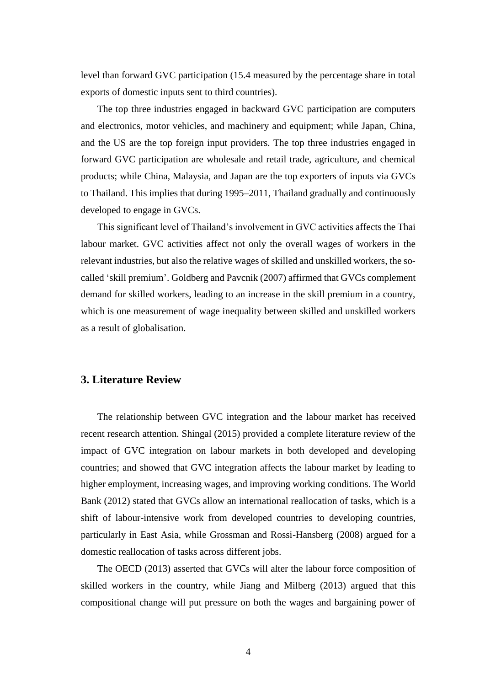level than forward GVC participation (15.4 measured by the percentage share in total exports of domestic inputs sent to third countries).

The top three industries engaged in backward GVC participation are computers and electronics, motor vehicles, and machinery and equipment; while Japan, China, and the US are the top foreign input providers. The top three industries engaged in forward GVC participation are wholesale and retail trade, agriculture, and chemical products; while China, Malaysia, and Japan are the top exporters of inputs via GVCs to Thailand. This implies that during 1995–2011, Thailand gradually and continuously developed to engage in GVCs.

This significant level of Thailand's involvement in GVC activities affects the Thai labour market. GVC activities affect not only the overall wages of workers in the relevant industries, but also the relative wages of skilled and unskilled workers, the socalled 'skill premium'. Goldberg and Pavcnik (2007) affirmed that GVCs complement demand for skilled workers, leading to an increase in the skill premium in a country, which is one measurement of wage inequality between skilled and unskilled workers as a result of globalisation.

# **3. Literature Review**

The relationship between GVC integration and the labour market has received recent research attention. Shingal (2015) provided a complete literature review of the impact of GVC integration on labour markets in both developed and developing countries; and showed that GVC integration affects the labour market by leading to higher employment, increasing wages, and improving working conditions. The World Bank (2012) stated that GVCs allow an international reallocation of tasks, which is a shift of labour-intensive work from developed countries to developing countries, particularly in East Asia, while Grossman and Rossi-Hansberg (2008) argued for a domestic reallocation of tasks across different jobs.

The OECD (2013) asserted that GVCs will alter the labour force composition of skilled workers in the country, while Jiang and Milberg (2013) argued that this compositional change will put pressure on both the wages and bargaining power of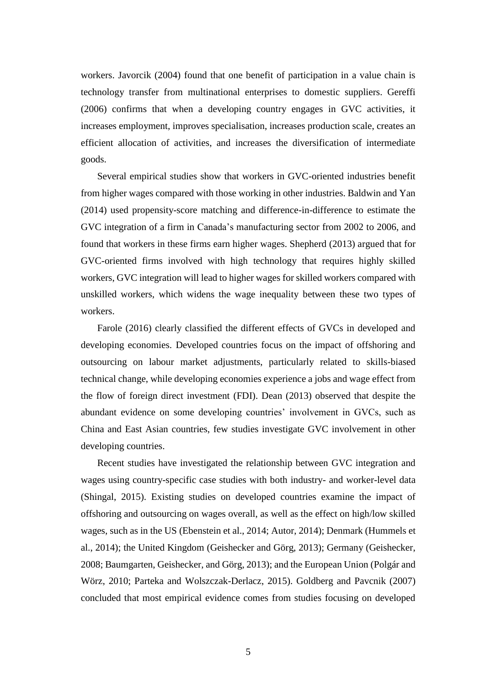workers. Javorcik (2004) found that one benefit of participation in a value chain is technology transfer from multinational enterprises to domestic suppliers. Gereffi (2006) confirms that when a developing country engages in GVC activities, it increases employment, improves specialisation, increases production scale, creates an efficient allocation of activities, and increases the diversification of intermediate goods.

Several empirical studies show that workers in GVC-oriented industries benefit from higher wages compared with those working in other industries. Baldwin and Yan (2014) used propensity-score matching and difference-in-difference to estimate the GVC integration of a firm in Canada's manufacturing sector from 2002 to 2006, and found that workers in these firms earn higher wages. Shepherd (2013) argued that for GVC-oriented firms involved with high technology that requires highly skilled workers, GVC integration will lead to higher wages for skilled workers compared with unskilled workers, which widens the wage inequality between these two types of workers.

Farole (2016) clearly classified the different effects of GVCs in developed and developing economies. Developed countries focus on the impact of offshoring and outsourcing on labour market adjustments, particularly related to skills-biased technical change, while developing economies experience a jobs and wage effect from the flow of foreign direct investment (FDI). Dean (2013) observed that despite the abundant evidence on some developing countries' involvement in GVCs, such as China and East Asian countries, few studies investigate GVC involvement in other developing countries.

Recent studies have investigated the relationship between GVC integration and wages using country-specific case studies with both industry- and worker-level data (Shingal, 2015). Existing studies on developed countries examine the impact of offshoring and outsourcing on wages overall, as well as the effect on high/low skilled wages, such as in the US (Ebenstein et al., 2014; Autor, 2014); Denmark (Hummels et al., 2014); the United Kingdom (Geishecker and Görg, 2013); Germany (Geishecker, 2008; Baumgarten, Geishecker, and Görg, 2013); and the European Union (Polgár and Wörz, 2010; Parteka and Wolszczak-Derlacz, 2015). Goldberg and Pavcnik (2007) concluded that most empirical evidence comes from studies focusing on developed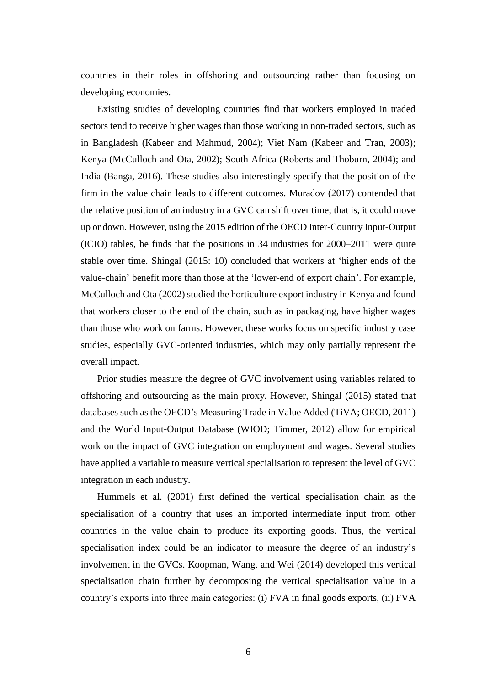countries in their roles in offshoring and outsourcing rather than focusing on developing economies.

Existing studies of developing countries find that workers employed in traded sectors tend to receive higher wages than those working in non-traded sectors, such as in Bangladesh (Kabeer and Mahmud, 2004); Viet Nam (Kabeer and Tran, 2003); Kenya (McCulloch and Ota, 2002); South Africa (Roberts and Thoburn, 2004); and India (Banga, 2016). These studies also interestingly specify that the position of the firm in the value chain leads to different outcomes. Muradov (2017) contended that the relative position of an industry in a GVC can shift over time; that is, it could move up or down. However, using the 2015 edition of the OECD Inter-Country Input-Output (ICIO) tables, he finds that the positions in 34 industries for 2000–2011 were quite stable over time. Shingal (2015: 10) concluded that workers at 'higher ends of the value-chain' benefit more than those at the 'lower-end of export chain'. For example, McCulloch and Ota (2002) studied the horticulture export industry in Kenya and found that workers closer to the end of the chain, such as in packaging, have higher wages than those who work on farms. However, these works focus on specific industry case studies, especially GVC-oriented industries, which may only partially represent the overall impact.

Prior studies measure the degree of GVC involvement using variables related to offshoring and outsourcing as the main proxy. However, Shingal (2015) stated that databases such as the OECD's Measuring Trade in Value Added (TiVA; OECD, 2011) and the World Input-Output Database (WIOD; Timmer, 2012) allow for empirical work on the impact of GVC integration on employment and wages. Several studies have applied a variable to measure vertical specialisation to represent the level of GVC integration in each industry.

Hummels et al. (2001) first defined the vertical specialisation chain as the specialisation of a country that uses an imported intermediate input from other countries in the value chain to produce its exporting goods. Thus, the vertical specialisation index could be an indicator to measure the degree of an industry's involvement in the GVCs. Koopman, Wang, and Wei (2014) developed this vertical specialisation chain further by decomposing the vertical specialisation value in a country's exports into three main categories: (i) FVA in final goods exports, (ii) FVA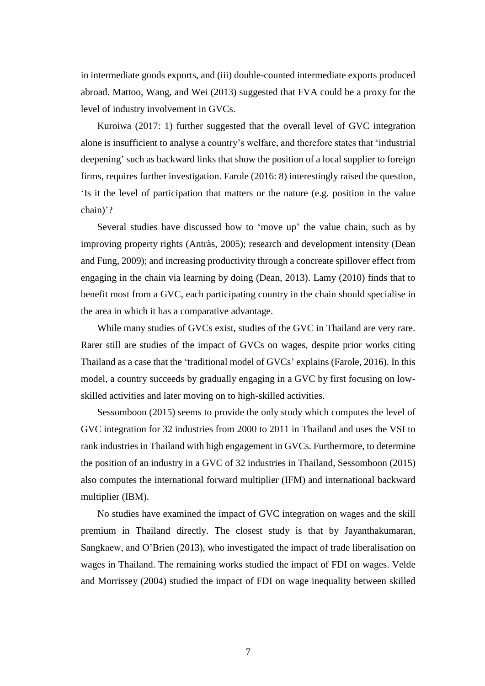in intermediate goods exports, and (iii) double-counted intermediate exports produced abroad. Mattoo, Wang, and Wei (2013) suggested that FVA could be a proxy for the level of industry involvement in GVCs.

Kuroiwa (2017: 1) further suggested that the overall level of GVC integration alone is insufficient to analyse a country's welfare, and therefore states that 'industrial deepening' such as backward links that show the position of a local supplier to foreign firms, requires further investigation. Farole (2016: 8) interestingly raised the question, 'Is it the level of participation that matters or the nature (e.g. position in the value chain)'?

Several studies have discussed how to 'move up' the value chain, such as by improving property rights (Antràs, 2005); research and development intensity (Dean and Fung, 2009); and increasing productivity through a concreate spillover effect from engaging in the chain via learning by doing (Dean, 2013). Lamy (2010) finds that to benefit most from a GVC, each participating country in the chain should specialise in the area in which it has a comparative advantage.

While many studies of GVCs exist, studies of the GVC in Thailand are very rare. Rarer still are studies of the impact of GVCs on wages, despite prior works citing Thailand as a case that the 'traditional model of GVCs' explains (Farole, 2016). In this model, a country succeeds by gradually engaging in a GVC by first focusing on lowskilled activities and later moving on to high-skilled activities.

Sessomboon (2015) seems to provide the only study which computes the level of GVC integration for 32 industries from 2000 to 2011 in Thailand and uses the VSI to rank industries in Thailand with high engagement in GVCs. Furthermore, to determine the position of an industry in a GVC of 32 industries in Thailand, Sessomboon (2015) also computes the international forward multiplier (IFM) and international backward multiplier (IBM).

No studies have examined the impact of GVC integration on wages and the skill premium in Thailand directly. The closest study is that by Jayanthakumaran, Sangkaew, and O'Brien (2013), who investigated the impact of trade liberalisation on wages in Thailand. The remaining works studied the impact of FDI on wages. Velde and Morrissey (2004) studied the impact of FDI on wage inequality between skilled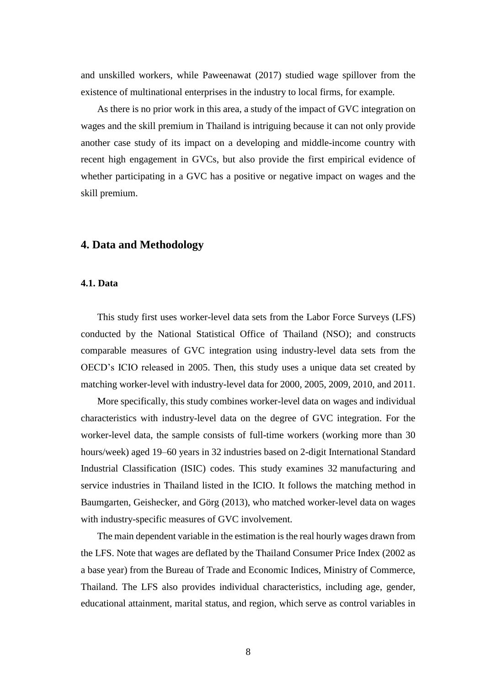and unskilled workers, while Paweenawat (2017) studied wage spillover from the existence of multinational enterprises in the industry to local firms, for example.

As there is no prior work in this area, a study of the impact of GVC integration on wages and the skill premium in Thailand is intriguing because it can not only provide another case study of its impact on a developing and middle-income country with recent high engagement in GVCs, but also provide the first empirical evidence of whether participating in a GVC has a positive or negative impact on wages and the skill premium.

## **4. Data and Methodology**

## **4.1. Data**

This study first uses worker-level data sets from the Labor Force Surveys (LFS) conducted by the National Statistical Office of Thailand (NSO); and constructs comparable measures of GVC integration using industry-level data sets from the OECD's ICIO released in 2005. Then, this study uses a unique data set created by matching worker-level with industry-level data for 2000, 2005, 2009, 2010, and 2011.

More specifically, this study combines worker-level data on wages and individual characteristics with industry-level data on the degree of GVC integration. For the worker-level data, the sample consists of full-time workers (working more than 30 hours/week) aged 19–60 years in 32 industries based on 2-digit International Standard Industrial Classification (ISIC) codes. This study examines 32 manufacturing and service industries in Thailand listed in the ICIO. It follows the matching method in Baumgarten, Geishecker, and Görg (2013), who matched worker-level data on wages with industry-specific measures of GVC involvement.

The main dependent variable in the estimation is the real hourly wages drawn from the LFS. Note that wages are deflated by the Thailand Consumer Price Index (2002 as a base year) from the Bureau of Trade and Economic Indices, Ministry of Commerce, Thailand. The LFS also provides individual characteristics, including age, gender, educational attainment, marital status, and region, which serve as control variables in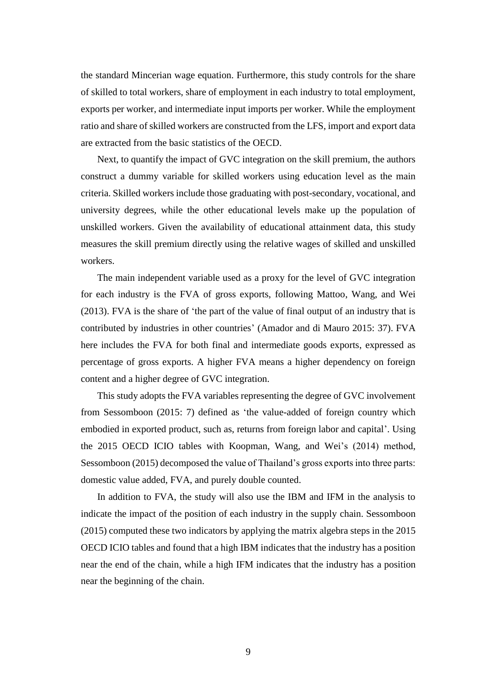the standard Mincerian wage equation. Furthermore, this study controls for the share of skilled to total workers, share of employment in each industry to total employment, exports per worker, and intermediate input imports per worker. While the employment ratio and share of skilled workers are constructed from the LFS, import and export data are extracted from the basic statistics of the OECD.

Next, to quantify the impact of GVC integration on the skill premium, the authors construct a dummy variable for skilled workers using education level as the main criteria. Skilled workers include those graduating with post-secondary, vocational, and university degrees, while the other educational levels make up the population of unskilled workers. Given the availability of educational attainment data, this study measures the skill premium directly using the relative wages of skilled and unskilled workers.

The main independent variable used as a proxy for the level of GVC integration for each industry is the FVA of gross exports, following Mattoo, Wang, and Wei (2013). FVA is the share of 'the part of the value of final output of an industry that is contributed by industries in other countries' (Amador and di Mauro 2015: 37). FVA here includes the FVA for both final and intermediate goods exports, expressed as percentage of gross exports. A higher FVA means a higher dependency on foreign content and a higher degree of GVC integration.

This study adopts the FVA variables representing the degree of GVC involvement from Sessomboon (2015: 7) defined as 'the value-added of foreign country which embodied in exported product, such as, returns from foreign labor and capital'. Using the 2015 OECD ICIO tables with Koopman, Wang, and Wei's (2014) method, Sessomboon (2015) decomposed the value of Thailand's gross exports into three parts: domestic value added, FVA, and purely double counted.

In addition to FVA, the study will also use the IBM and IFM in the analysis to indicate the impact of the position of each industry in the supply chain. Sessomboon (2015) computed these two indicators by applying the matrix algebra steps in the 2015 OECD ICIO tables and found that a high IBM indicates that the industry has a position near the end of the chain, while a high IFM indicates that the industry has a position near the beginning of the chain.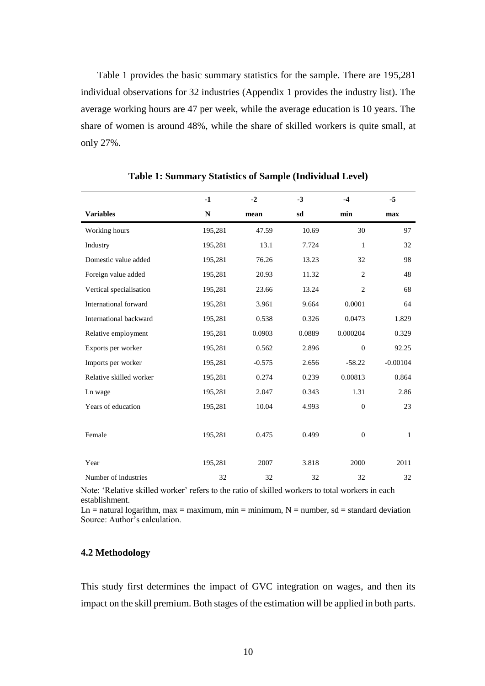Table 1 provides the basic summary statistics for the sample. There are 195,281 individual observations for 32 industries (Appendix 1 provides the industry list). The average working hours are 47 per week, while the average education is 10 years. The share of women is around 48%, while the share of skilled workers is quite small, at only 27%.

|                         | $-1$        | $-2$     | $-3$   | $-4$           | $-5$       |
|-------------------------|-------------|----------|--------|----------------|------------|
| <b>Variables</b>        | $\mathbb N$ | mean     | sd     | min            | max        |
| Working hours           | 195,281     | 47.59    | 10.69  | 30             | 97         |
| Industry                | 195,281     | 13.1     | 7.724  | $\mathbf{1}$   | 32         |
| Domestic value added    | 195,281     | 76.26    | 13.23  | 32             | 98         |
| Foreign value added     | 195,281     | 20.93    | 11.32  | $\overline{2}$ | 48         |
| Vertical specialisation | 195,281     | 23.66    | 13.24  | $\overline{2}$ | 68         |
| International forward   | 195,281     | 3.961    | 9.664  | 0.0001         | 64         |
| International backward  | 195,281     | 0.538    | 0.326  | 0.0473         | 1.829      |
| Relative employment     | 195,281     | 0.0903   | 0.0889 | 0.000204       | 0.329      |
| Exports per worker      | 195,281     | 0.562    | 2.896  | $\overline{0}$ | 92.25      |
| Imports per worker      | 195,281     | $-0.575$ | 2.656  | $-58.22$       | $-0.00104$ |
| Relative skilled worker | 195,281     | 0.274    | 0.239  | 0.00813        | 0.864      |
| Ln wage                 | 195,281     | 2.047    | 0.343  | 1.31           | 2.86       |
| Years of education      | 195,281     | 10.04    | 4.993  | $\theta$       | 23         |
|                         |             |          |        |                |            |
| Female                  | 195,281     | 0.475    | 0.499  | $\theta$       | 1          |
|                         |             |          |        |                |            |
| Year                    | 195,281     | 2007     | 3.818  | 2000           | 2011       |
| Number of industries    | 32          | 32       | 32     | 32             | 32         |

#### **Table 1: Summary Statistics of Sample (Individual Level)**

Note: 'Relative skilled worker' refers to the ratio of skilled workers to total workers in each establishment.

Ln = natural logarithm, max = maximum, min = minimum,  $N =$  number, sd = standard deviation Source: Author's calculation.

### **4.2 Methodology**

This study first determines the impact of GVC integration on wages, and then its impact on the skill premium. Both stages of the estimation will be applied in both parts.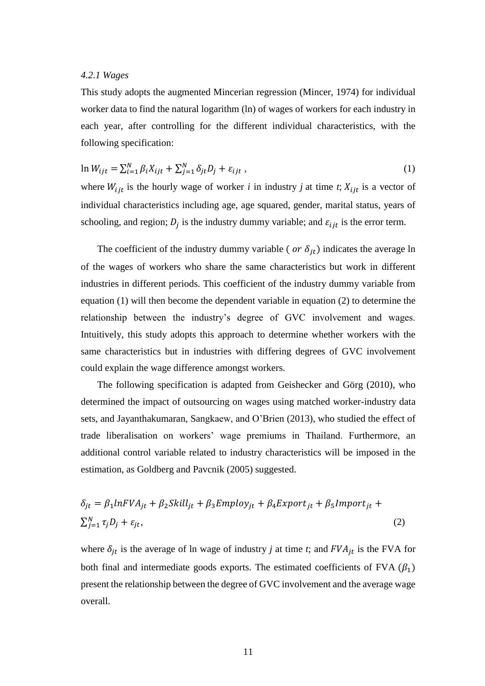#### *4.2.1 Wages*

This study adopts the augmented Mincerian regression (Mincer, 1974) for individual worker data to find the natural logarithm (ln) of wages of workers for each industry in each year, after controlling for the different individual characteristics, with the following specification:

$$
\ln W_{ijt} = \sum_{i=1}^{N} \beta_i X_{ijt} + \sum_{j=1}^{N} \delta_{jt} D_j + \varepsilon_{ijt} , \qquad (1)
$$

where  $W_{ijt}$  is the hourly wage of worker *i* in industry *j* at time *t*;  $X_{ijt}$  is a vector of individual characteristics including age, age squared, gender, marital status, years of schooling, and region;  $D_j$  is the industry dummy variable; and  $\varepsilon_{ijt}$  is the error term.

The coefficient of the industry dummy variable ( or  $\delta_{it}$ ) indicates the average ln of the wages of workers who share the same characteristics but work in different industries in different periods. This coefficient of the industry dummy variable from equation (1) will then become the dependent variable in equation (2) to determine the relationship between the industry's degree of GVC involvement and wages. Intuitively, this study adopts this approach to determine whether workers with the same characteristics but in industries with differing degrees of GVC involvement could explain the wage difference amongst workers.

The following specification is adapted from Geishecker and Görg (2010), who determined the impact of outsourcing on wages using matched worker-industry data sets, and Jayanthakumaran, Sangkaew, and O'Brien (2013), who studied the effect of trade liberalisation on workers' wage premiums in Thailand. Furthermore, an additional control variable related to industry characteristics will be imposed in the estimation, as Goldberg and Pavcnik (2005) suggested.

$$
\delta_{jt} = \beta_1 lnFVA_{jt} + \beta_2 Skill_{jt} + \beta_3 Emplov_{jt} + \beta_4 Export_{jt} + \beta_5 Import_{jt} + \sum_{j=1}^{N} \tau_j D_j + \varepsilon_{jt},
$$
\n(2)

where  $\delta_{it}$  is the average of ln wage of industry *j* at time *t*; and  $FVA_{it}$  is the FVA for both final and intermediate goods exports. The estimated coefficients of FVA  $(\beta_1)$ present the relationship between the degree of GVC involvement and the average wage overall.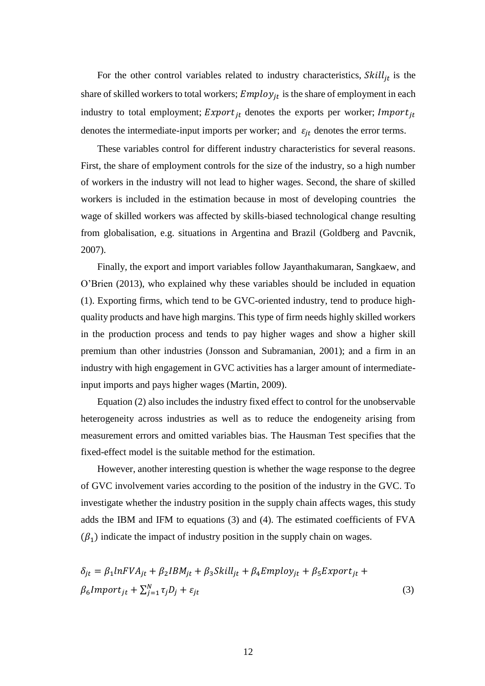For the other control variables related to industry characteristics,  $Skill_{it}$  is the share of skilled workers to total workers;  $Employ_{it}$  is the share of employment in each industry to total employment;  $Export_{it}$  denotes the exports per worker; Import<sub>it</sub> denotes the intermediate-input imports per worker; and  $\varepsilon_{it}$  denotes the error terms.

These variables control for different industry characteristics for several reasons. First, the share of employment controls for the size of the industry, so a high number of workers in the industry will not lead to higher wages. Second, the share of skilled workers is included in the estimation because in most of developing countries the wage of skilled workers was affected by skills-biased technological change resulting from globalisation, e.g. situations in Argentina and Brazil (Goldberg and Pavcnik, 2007).

Finally, the export and import variables follow Jayanthakumaran, Sangkaew, and O'Brien (2013), who explained why these variables should be included in equation (1). Exporting firms, which tend to be GVC-oriented industry, tend to produce highquality products and have high margins. This type of firm needs highly skilled workers in the production process and tends to pay higher wages and show a higher skill premium than other industries (Jonsson and Subramanian, 2001); and a firm in an industry with high engagement in GVC activities has a larger amount of intermediateinput imports and pays higher wages (Martin, 2009).

Equation (2) also includes the industry fixed effect to control for the unobservable heterogeneity across industries as well as to reduce the endogeneity arising from measurement errors and omitted variables bias. The Hausman Test specifies that the fixed-effect model is the suitable method for the estimation.

However, another interesting question is whether the wage response to the degree of GVC involvement varies according to the position of the industry in the GVC. To investigate whether the industry position in the supply chain affects wages, this study adds the IBM and IFM to equations (3) and (4). The estimated coefficients of FVA  $(\beta_1)$  indicate the impact of industry position in the supply chain on wages.

$$
\delta_{jt} = \beta_1 lnFVA_{jt} + \beta_2 IBM_{jt} + \beta_3 Skill_{jt} + \beta_4 Employ_{jt} + \beta_5 Export_{jt} + \beta_6 Import_{jt} + \sum_{j=1}^{N} \tau_j D_j + \varepsilon_{jt}
$$
\n(3)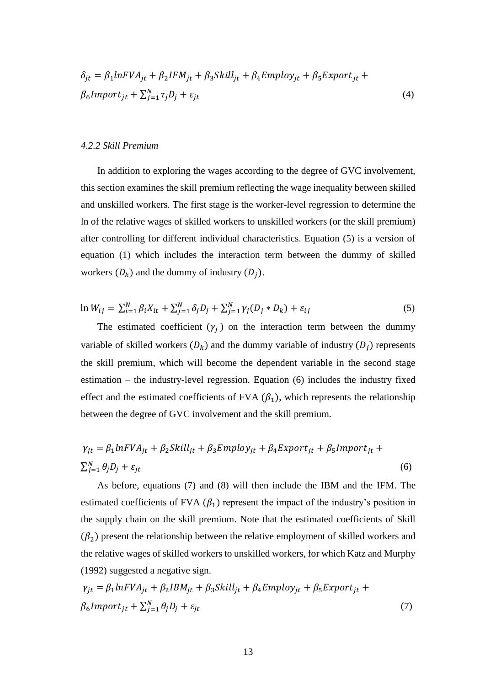$$
\delta_{jt} = \beta_1 lnFVA_{jt} + \beta_2 IFM_{jt} + \beta_3 Skill_{jt} + \beta_4 Employ_{jt} + \beta_5 Export_{jt} + \beta_6 Import_{jt} + \sum_{j=1}^{N} \tau_j D_j + \varepsilon_{jt}
$$
\n(4)

#### *4.2.2 Skill Premium*

In addition to exploring the wages according to the degree of GVC involvement, this section examines the skill premium reflecting the wage inequality between skilled and unskilled workers. The first stage is the worker-level regression to determine the ln of the relative wages of skilled workers to unskilled workers (or the skill premium) after controlling for different individual characteristics. Equation (5) is a version of equation (1) which includes the interaction term between the dummy of skilled workers  $(D_k)$  and the dummy of industry  $(D_i)$ .

$$
\ln W_{ij} = \sum_{i=1}^{N} \beta_i X_{it} + \sum_{j=1}^{N} \delta_j D_j + \sum_{j=1}^{N} \gamma_j (D_j * D_k) + \varepsilon_{ij}
$$
(5)

The estimated coefficient  $(\gamma_i)$  on the interaction term between the dummy variable of skilled workers  $(D_k)$  and the dummy variable of industry  $(D_i)$  represents the skill premium, which will become the dependent variable in the second stage estimation – the industry-level regression. Equation (6) includes the industry fixed effect and the estimated coefficients of FVA  $(\beta_1)$ , which represents the relationship between the degree of GVC involvement and the skill premium.

$$
\gamma_{jt} = \beta_1 lnFVA_{jt} + \beta_2 Skill_{jt} + \beta_3 Employ_{jt} + \beta_4 Export_{jt} + \beta_5 Import_{jt} + \sum_{j=1}^{N} \theta_j D_j + \varepsilon_{jt}
$$
\n
$$
(6)
$$

As before, equations (7) and (8) will then include the IBM and the IFM. The estimated coefficients of FVA  $(\beta_1)$  represent the impact of the industry's position in the supply chain on the skill premium. Note that the estimated coefficients of Skill  $(\beta_2)$  present the relationship between the relative employment of skilled workers and the relative wages of skilled workers to unskilled workers, for which Katz and Murphy (1992) suggested a negative sign.

$$
\gamma_{jt} = \beta_1 lnFVA_{jt} + \beta_2 IBM_{jt} + \beta_3 Skill_{jt} + \beta_4 Employ_{jt} + \beta_5 Export_{jt} + \beta_6 Import_{jt} + \sum_{j=1}^{N} \theta_j D_j + \varepsilon_{jt}
$$
\n(7)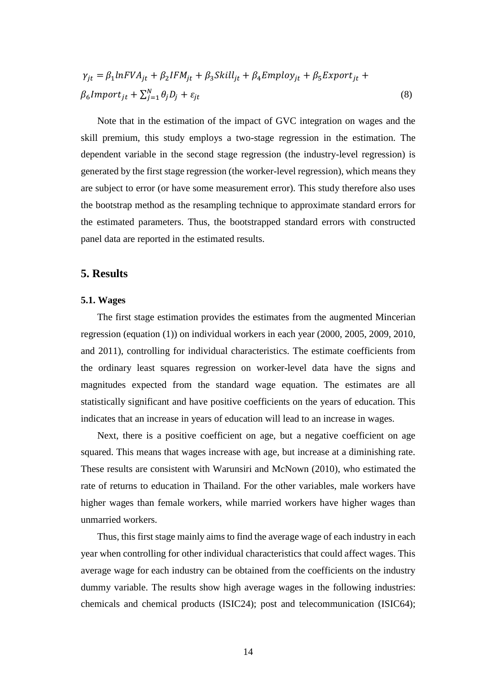$$
\gamma_{jt} = \beta_1 lnFVA_{jt} + \beta_2 IFM_{jt} + \beta_3 Skill_{jt} + \beta_4 Employ_{jt} + \beta_5 Export_{jt} + \beta_6 Import_{jt} + \sum_{j=1}^{N} \theta_j D_j + \varepsilon_{jt}
$$
\n(8)

Note that in the estimation of the impact of GVC integration on wages and the skill premium, this study employs a two-stage regression in the estimation. The dependent variable in the second stage regression (the industry-level regression) is generated by the first stage regression (the worker-level regression), which means they are subject to error (or have some measurement error). This study therefore also uses the bootstrap method as the resampling technique to approximate standard errors for the estimated parameters. Thus, the bootstrapped standard errors with constructed panel data are reported in the estimated results.

# **5. Results**

#### **5.1. Wages**

The first stage estimation provides the estimates from the augmented Mincerian regression (equation (1)) on individual workers in each year (2000, 2005, 2009, 2010, and 2011), controlling for individual characteristics. The estimate coefficients from the ordinary least squares regression on worker-level data have the signs and magnitudes expected from the standard wage equation. The estimates are all statistically significant and have positive coefficients on the years of education. This indicates that an increase in years of education will lead to an increase in wages.

Next, there is a positive coefficient on age, but a negative coefficient on age squared. This means that wages increase with age, but increase at a diminishing rate. These results are consistent with Warunsiri and McNown (2010), who estimated the rate of returns to education in Thailand. For the other variables, male workers have higher wages than female workers, while married workers have higher wages than unmarried workers.

Thus, this first stage mainly aims to find the average wage of each industry in each year when controlling for other individual characteristics that could affect wages. This average wage for each industry can be obtained from the coefficients on the industry dummy variable. The results show high average wages in the following industries: chemicals and chemical products (ISIC24); post and telecommunication (ISIC64);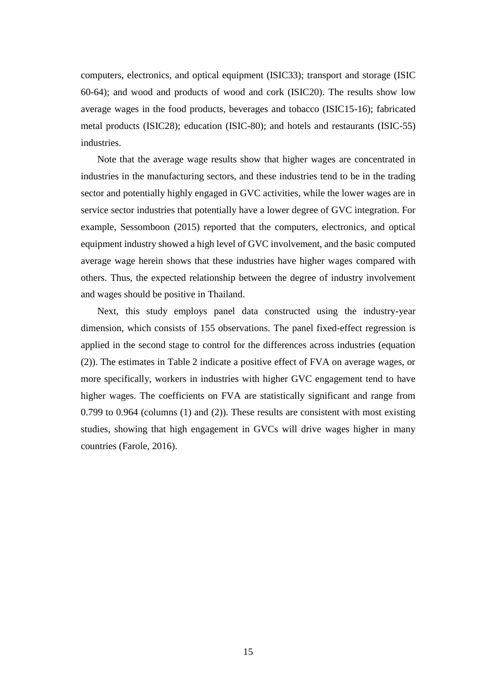computers, electronics, and optical equipment (ISIC33); transport and storage (ISIC 60-64); and wood and products of wood and cork (ISIC20). The results show low average wages in the food products, beverages and tobacco (ISIC15-16); fabricated metal products (ISIC28); education (ISIC-80); and hotels and restaurants (ISIC-55) industries.

Note that the average wage results show that higher wages are concentrated in industries in the manufacturing sectors, and these industries tend to be in the trading sector and potentially highly engaged in GVC activities, while the lower wages are in service sector industries that potentially have a lower degree of GVC integration. For example, Sessomboon (2015) reported that the computers, electronics, and optical equipment industry showed a high level of GVC involvement, and the basic computed average wage herein shows that these industries have higher wages compared with others. Thus, the expected relationship between the degree of industry involvement and wages should be positive in Thailand.

Next, this study employs panel data constructed using the industry-year dimension, which consists of 155 observations. The panel fixed-effect regression is applied in the second stage to control for the differences across industries (equation (2)). The estimates in Table 2 indicate a positive effect of FVA on average wages, or more specifically, workers in industries with higher GVC engagement tend to have higher wages. The coefficients on FVA are statistically significant and range from 0.799 to 0.964 (columns (1) and (2)). These results are consistent with most existing studies, showing that high engagement in GVCs will drive wages higher in many countries (Farole, 2016).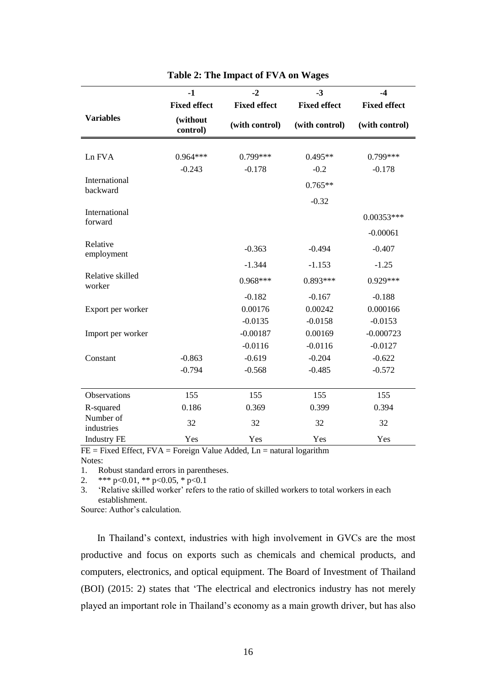|                            | $-1$                 | $-2$                | $-3$                | $-4$                |
|----------------------------|----------------------|---------------------|---------------------|---------------------|
|                            | <b>Fixed effect</b>  | <b>Fixed effect</b> | <b>Fixed effect</b> | <b>Fixed effect</b> |
| <b>Variables</b>           | (without<br>control) | (with control)      | (with control)      | (with control)      |
|                            |                      |                     |                     |                     |
| Ln FVA                     | $0.964***$           | $0.799***$          | $0.495**$           | $0.799***$          |
|                            | $-0.243$             | $-0.178$            | $-0.2$              | $-0.178$            |
| International<br>backward  |                      |                     | $0.765**$           |                     |
|                            |                      |                     | $-0.32$             |                     |
| International<br>forward   |                      |                     |                     | $0.00353***$        |
|                            |                      |                     |                     | $-0.00061$          |
| Relative<br>employment     |                      | $-0.363$            | $-0.494$            | $-0.407$            |
|                            |                      | $-1.344$            | $-1.153$            | $-1.25$             |
| Relative skilled<br>worker |                      | $0.968***$          | $0.893***$          | $0.929***$          |
|                            |                      | $-0.182$            | $-0.167$            | $-0.188$            |
| Export per worker          |                      | 0.00176             | 0.00242             | 0.000166            |
|                            |                      | $-0.0135$           | $-0.0158$           | $-0.0153$           |
| Import per worker          |                      | $-0.00187$          | 0.00169             | $-0.000723$         |
|                            |                      | $-0.0116$           | $-0.0116$           | $-0.0127$           |
| Constant                   | $-0.863$             | $-0.619$            | $-0.204$            | $-0.622$            |
|                            | $-0.794$             | $-0.568$            | $-0.485$            | $-0.572$            |
| Observations               | 155                  | 155                 | 155                 | 155                 |
| R-squared                  | 0.186                | 0.369               | 0.399               | 0.394               |
| Number of<br>industries    | 32                   | 32                  | 32                  | 32                  |
| <b>Industry FE</b>         | Yes                  | Yes                 | Yes                 | Yes                 |

| Table 2: The Impact of FVA on Wages |  |  |  |  |
|-------------------------------------|--|--|--|--|
|-------------------------------------|--|--|--|--|

 $FE = Fixed Effect, FVA = Foreign Value added, Ln = natural logarithm$ Notes:

1. Robust standard errors in parentheses.

2. \*\*\* p<0.01, \*\* p<0.05, \* p<0.1

3. 'Relative skilled worker' refers to the ratio of skilled workers to total workers in each establishment.

Source: Author's calculation.

In Thailand's context, industries with high involvement in GVCs are the most productive and focus on exports such as chemicals and chemical products, and computers, electronics, and optical equipment. The Board of Investment of Thailand (BOI) (2015: 2) states that 'The electrical and electronics industry has not merely played an important role in Thailand's economy as a main growth driver, but has also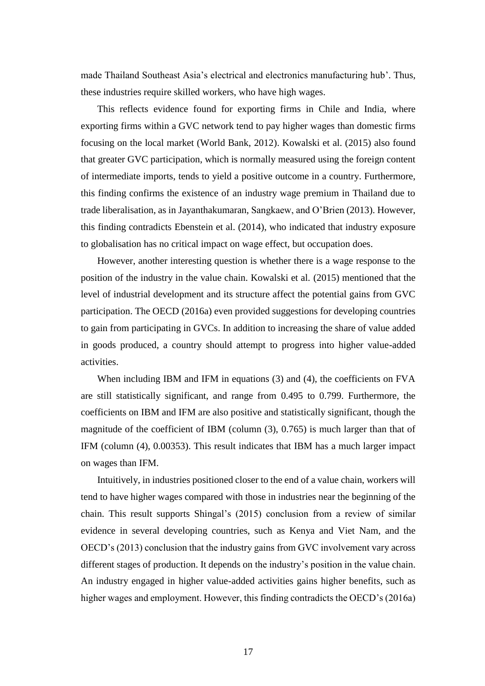made Thailand Southeast Asia's electrical and electronics manufacturing hub'. Thus, these industries require skilled workers, who have high wages.

This reflects evidence found for exporting firms in Chile and India, where exporting firms within a GVC network tend to pay higher wages than domestic firms focusing on the local market (World Bank, 2012). Kowalski et al. (2015) also found that greater GVC participation, which is normally measured using the foreign content of intermediate imports, tends to yield a positive outcome in a country. Furthermore, this finding confirms the existence of an industry wage premium in Thailand due to trade liberalisation, as in Jayanthakumaran, Sangkaew, and O'Brien (2013). However, this finding contradicts Ebenstein et al. (2014), who indicated that industry exposure to globalisation has no critical impact on wage effect, but occupation does.

However, another interesting question is whether there is a wage response to the position of the industry in the value chain. Kowalski et al. (2015) mentioned that the level of industrial development and its structure affect the potential gains from GVC participation. The OECD (2016a) even provided suggestions for developing countries to gain from participating in GVCs. In addition to increasing the share of value added in goods produced, a country should attempt to progress into higher value-added activities.

When including IBM and IFM in equations (3) and (4), the coefficients on FVA are still statistically significant, and range from 0.495 to 0.799. Furthermore, the coefficients on IBM and IFM are also positive and statistically significant, though the magnitude of the coefficient of IBM (column (3), 0.765) is much larger than that of IFM (column (4), 0.00353). This result indicates that IBM has a much larger impact on wages than IFM.

Intuitively, in industries positioned closer to the end of a value chain, workers will tend to have higher wages compared with those in industries near the beginning of the chain. This result supports Shingal's (2015) conclusion from a review of similar evidence in several developing countries, such as Kenya and Viet Nam, and the OECD's (2013) conclusion that the industry gains from GVC involvement vary across different stages of production. It depends on the industry's position in the value chain. An industry engaged in higher value-added activities gains higher benefits, such as higher wages and employment. However, this finding contradicts the OECD's (2016a)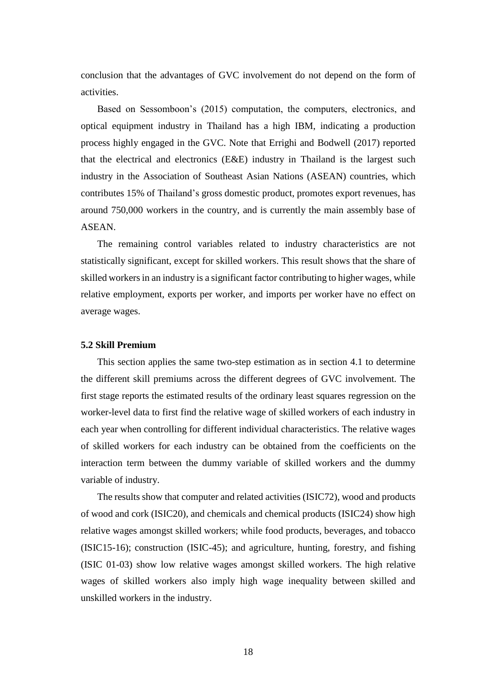conclusion that the advantages of GVC involvement do not depend on the form of activities.

Based on Sessomboon's (2015) computation, the computers, electronics, and optical equipment industry in Thailand has a high IBM, indicating a production process highly engaged in the GVC. Note that Errighi and Bodwell (2017) reported that the electrical and electronics (E&E) industry in Thailand is the largest such industry in the Association of Southeast Asian Nations (ASEAN) countries, which contributes 15% of Thailand's gross domestic product, promotes export revenues, has around 750,000 workers in the country, and is currently the main assembly base of ASEAN.

The remaining control variables related to industry characteristics are not statistically significant, except for skilled workers. This result shows that the share of skilled workers in an industry is a significant factor contributing to higher wages, while relative employment, exports per worker, and imports per worker have no effect on average wages.

#### **5.2 Skill Premium**

This section applies the same two-step estimation as in section 4.1 to determine the different skill premiums across the different degrees of GVC involvement. The first stage reports the estimated results of the ordinary least squares regression on the worker-level data to first find the relative wage of skilled workers of each industry in each year when controlling for different individual characteristics. The relative wages of skilled workers for each industry can be obtained from the coefficients on the interaction term between the dummy variable of skilled workers and the dummy variable of industry.

The results show that computer and related activities (ISIC72), wood and products of wood and cork (ISIC20), and chemicals and chemical products (ISIC24) show high relative wages amongst skilled workers; while food products, beverages, and tobacco (ISIC15-16); construction (ISIC-45); and agriculture, hunting, forestry, and fishing (ISIC 01-03) show low relative wages amongst skilled workers. The high relative wages of skilled workers also imply high wage inequality between skilled and unskilled workers in the industry.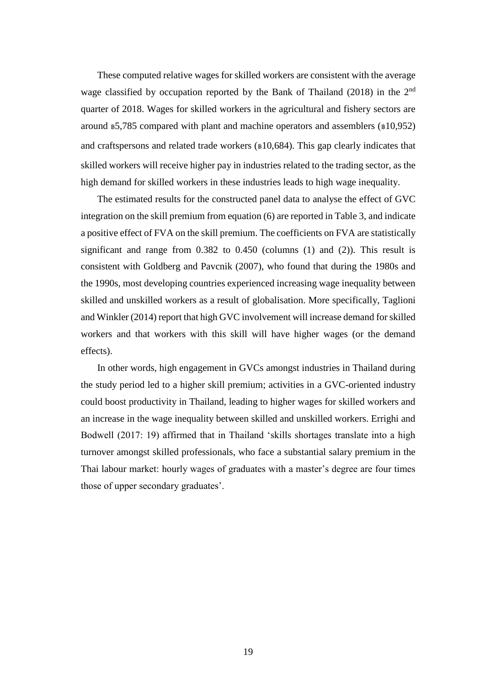These computed relative wages for skilled workers are consistent with the average wage classified by occupation reported by the Bank of Thailand (2018) in the 2<sup>nd</sup> quarter of 2018. Wages for skilled workers in the agricultural and fishery sectors are around  $\sharp$ 5,785 compared with plant and machine operators and assemblers ( $\sharp$ 10,952) and craftspersons and related trade workers  $(\text{B10}, 684)$ . This gap clearly indicates that skilled workers will receive higher pay in industries related to the trading sector, as the high demand for skilled workers in these industries leads to high wage inequality.

The estimated results for the constructed panel data to analyse the effect of GVC integration on the skill premium from equation (6) are reported in Table 3, and indicate a positive effect of FVA on the skill premium. The coefficients on FVA are statistically significant and range from 0.382 to 0.450 (columns (1) and (2)). This result is consistent with Goldberg and Pavcnik (2007), who found that during the 1980s and the 1990s, most developing countries experienced increasing wage inequality between skilled and unskilled workers as a result of globalisation. More specifically, Taglioni and Winkler (2014) report that high GVC involvement will increase demand for skilled workers and that workers with this skill will have higher wages (or the demand effects).

In other words, high engagement in GVCs amongst industries in Thailand during the study period led to a higher skill premium; activities in a GVC-oriented industry could boost productivity in Thailand, leading to higher wages for skilled workers and an increase in the wage inequality between skilled and unskilled workers. Errighi and Bodwell (2017: 19) affirmed that in Thailand 'skills shortages translate into a high turnover amongst skilled professionals, who face a substantial salary premium in the Thai labour market: hourly wages of graduates with a master's degree are four times those of upper secondary graduates'.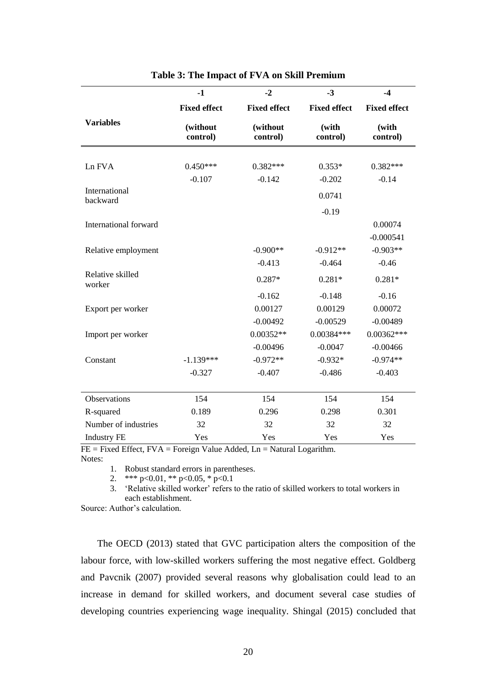|                            | $-1$                 | $-2$                 | $-3$                | $-4$                |
|----------------------------|----------------------|----------------------|---------------------|---------------------|
|                            | <b>Fixed effect</b>  | <b>Fixed effect</b>  | <b>Fixed effect</b> | <b>Fixed effect</b> |
| <b>Variables</b>           | (without<br>control) | (without<br>control) | (with<br>control)   | (with<br>control)   |
|                            |                      |                      |                     |                     |
| Ln FVA                     | $0.450***$           | $0.382***$           | $0.353*$            | $0.382***$          |
|                            | $-0.107$             | $-0.142$             | $-0.202$            | $-0.14$             |
| International<br>backward  |                      |                      | 0.0741              |                     |
|                            |                      |                      | $-0.19$             |                     |
| International forward      |                      |                      |                     | 0.00074             |
|                            |                      |                      |                     | $-0.000541$         |
| Relative employment        |                      | $-0.900**$           | $-0.912**$          | $-0.903**$          |
|                            |                      | $-0.413$             | $-0.464$            | $-0.46$             |
| Relative skilled<br>worker |                      | $0.287*$             | $0.281*$            | $0.281*$            |
|                            |                      | $-0.162$             | $-0.148$            | $-0.16$             |
| Export per worker          |                      | 0.00127              | 0.00129             | 0.00072             |
|                            |                      | $-0.00492$           | $-0.00529$          | $-0.00489$          |
| Import per worker          |                      | $0.00352**$          | $0.00384***$        | $0.00362***$        |
|                            |                      | $-0.00496$           | $-0.0047$           | $-0.00466$          |
| Constant                   | $-1.139***$          | $-0.972**$           | $-0.932*$           | $-0.974**$          |
|                            | $-0.327$             | $-0.407$             | $-0.486$            | $-0.403$            |
| Observations               | 154                  | 154                  | 154                 | 154                 |
| R-squared                  | 0.189                | 0.296                | 0.298               | 0.301               |
| Number of industries       | 32                   | 32                   | 32                  | 32                  |
| <b>Industry FE</b>         | Yes                  | Yes                  | Yes                 | Yes                 |

|  |  |  |  |  | Table 3: The Impact of FVA on Skill Premium |
|--|--|--|--|--|---------------------------------------------|
|--|--|--|--|--|---------------------------------------------|

 $FE = Fixed Effect, FVA = Foreign Value added, Ln = Natural Logarithm.$ Notes:

1. Robust standard errors in parentheses.

2. \*\*\* p<0.01, \*\* p<0.05, \* p<0.1

3. 'Relative skilled worker' refers to the ratio of skilled workers to total workers in each establishment.

Source: Author's calculation.

The OECD (2013) stated that GVC participation alters the composition of the labour force, with low-skilled workers suffering the most negative effect. Goldberg and Pavcnik (2007) provided several reasons why globalisation could lead to an increase in demand for skilled workers, and document several case studies of developing countries experiencing wage inequality. Shingal (2015) concluded that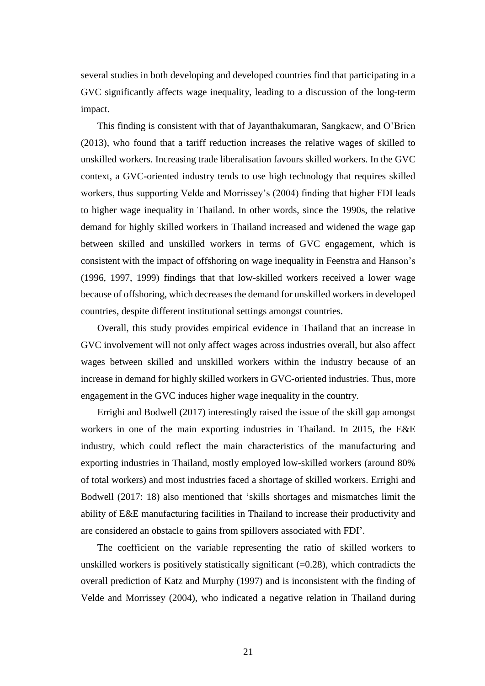several studies in both developing and developed countries find that participating in a GVC significantly affects wage inequality, leading to a discussion of the long-term impact.

This finding is consistent with that of Jayanthakumaran, Sangkaew, and O'Brien (2013), who found that a tariff reduction increases the relative wages of skilled to unskilled workers. Increasing trade liberalisation favours skilled workers. In the GVC context, a GVC-oriented industry tends to use high technology that requires skilled workers, thus supporting Velde and Morrissey's (2004) finding that higher FDI leads to higher wage inequality in Thailand. In other words, since the 1990s, the relative demand for highly skilled workers in Thailand increased and widened the wage gap between skilled and unskilled workers in terms of GVC engagement, which is consistent with the impact of offshoring on wage inequality in Feenstra and Hanson's (1996, 1997, 1999) findings that that low-skilled workers received a lower wage because of offshoring, which decreases the demand for unskilled workers in developed countries, despite different institutional settings amongst countries.

Overall, this study provides empirical evidence in Thailand that an increase in GVC involvement will not only affect wages across industries overall, but also affect wages between skilled and unskilled workers within the industry because of an increase in demand for highly skilled workers in GVC-oriented industries. Thus, more engagement in the GVC induces higher wage inequality in the country.

Errighi and Bodwell (2017) interestingly raised the issue of the skill gap amongst workers in one of the main exporting industries in Thailand. In 2015, the E&E industry, which could reflect the main characteristics of the manufacturing and exporting industries in Thailand, mostly employed low-skilled workers (around 80% of total workers) and most industries faced a shortage of skilled workers. Errighi and Bodwell (2017: 18) also mentioned that 'skills shortages and mismatches limit the ability of E&E manufacturing facilities in Thailand to increase their productivity and are considered an obstacle to gains from spillovers associated with FDI'.

The coefficient on the variable representing the ratio of skilled workers to unskilled workers is positively statistically significant  $(=0.28)$ , which contradicts the overall prediction of Katz and Murphy (1997) and is inconsistent with the finding of Velde and Morrissey (2004), who indicated a negative relation in Thailand during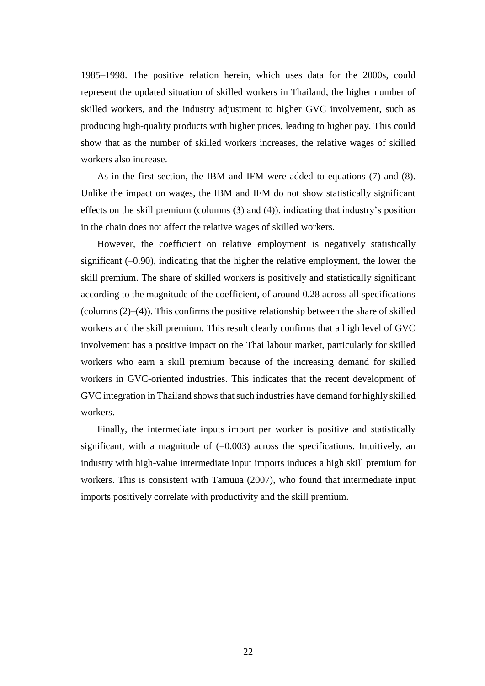1985–1998. The positive relation herein, which uses data for the 2000s, could represent the updated situation of skilled workers in Thailand, the higher number of skilled workers, and the industry adjustment to higher GVC involvement, such as producing high-quality products with higher prices, leading to higher pay. This could show that as the number of skilled workers increases, the relative wages of skilled workers also increase.

As in the first section, the IBM and IFM were added to equations (7) and (8). Unlike the impact on wages, the IBM and IFM do not show statistically significant effects on the skill premium (columns (3) and (4)), indicating that industry's position in the chain does not affect the relative wages of skilled workers.

However, the coefficient on relative employment is negatively statistically significant  $(-0.90)$ , indicating that the higher the relative employment, the lower the skill premium. The share of skilled workers is positively and statistically significant according to the magnitude of the coefficient, of around 0.28 across all specifications (columns (2)–(4)). This confirms the positive relationship between the share of skilled workers and the skill premium. This result clearly confirms that a high level of GVC involvement has a positive impact on the Thai labour market, particularly for skilled workers who earn a skill premium because of the increasing demand for skilled workers in GVC-oriented industries. This indicates that the recent development of GVC integration in Thailand shows that such industries have demand for highly skilled workers.

Finally, the intermediate inputs import per worker is positive and statistically significant, with a magnitude of  $(=0.003)$  across the specifications. Intuitively, an industry with high-value intermediate input imports induces a high skill premium for workers. This is consistent with Tamuua (2007), who found that intermediate input imports positively correlate with productivity and the skill premium.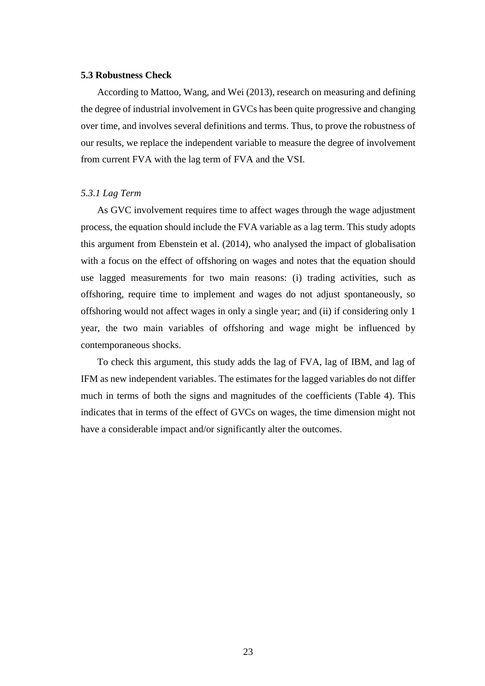#### **5.3 Robustness Check**

According to Mattoo, Wang, and Wei (2013), research on measuring and defining the degree of industrial involvement in GVCs has been quite progressive and changing over time, and involves several definitions and terms. Thus, to prove the robustness of our results, we replace the independent variable to measure the degree of involvement from current FVA with the lag term of FVA and the VSI.

## *5.3.1 Lag Term*

As GVC involvement requires time to affect wages through the wage adjustment process, the equation should include the FVA variable as a lag term. This study adopts this argument from Ebenstein et al. (2014), who analysed the impact of globalisation with a focus on the effect of offshoring on wages and notes that the equation should use lagged measurements for two main reasons: (i) trading activities, such as offshoring, require time to implement and wages do not adjust spontaneously, so offshoring would not affect wages in only a single year; and (ii) if considering only 1 year, the two main variables of offshoring and wage might be influenced by contemporaneous shocks.

To check this argument, this study adds the lag of FVA, lag of IBM, and lag of IFM as new independent variables. The estimates for the lagged variables do not differ much in terms of both the signs and magnitudes of the coefficients (Table 4). This indicates that in terms of the effect of GVCs on wages, the time dimension might not have a considerable impact and/or significantly alter the outcomes.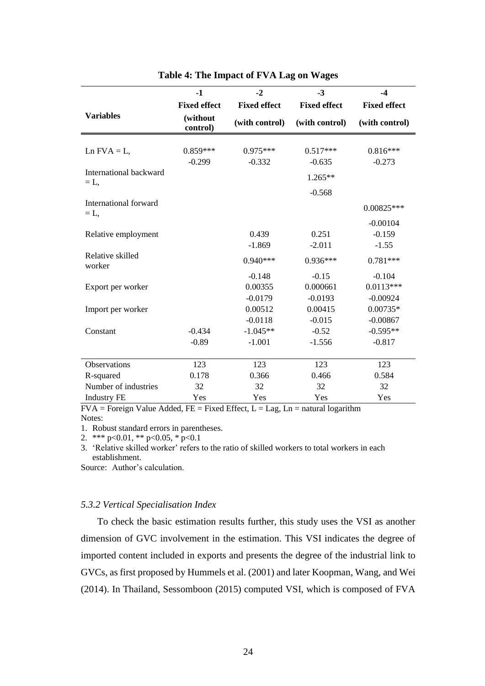|                                  | $-1$                 | $-2$                | $-3$                | $-4$                |
|----------------------------------|----------------------|---------------------|---------------------|---------------------|
|                                  | <b>Fixed effect</b>  | <b>Fixed effect</b> | <b>Fixed effect</b> | <b>Fixed effect</b> |
| <b>Variables</b>                 | (without<br>control) | (with control)      | (with control)      | (with control)      |
|                                  |                      |                     |                     |                     |
| Ln $FVA = L$ ,                   | $0.859***$           | $0.975***$          | $0.517***$          | $0.816***$          |
|                                  | $-0.299$             | $-0.332$            | $-0.635$            | $-0.273$            |
| International backward<br>$=$ L, |                      |                     | $1.265**$           |                     |
|                                  |                      |                     | $-0.568$            |                     |
| International forward<br>$=$ L,  |                      |                     |                     | $0.00825***$        |
|                                  |                      |                     |                     | $-0.00104$          |
| Relative employment              |                      | 0.439               | 0.251               | $-0.159$            |
|                                  |                      | $-1.869$            | $-2.011$            | $-1.55$             |
| Relative skilled<br>worker       |                      | $0.940***$          | $0.936***$          | $0.781***$          |
|                                  |                      | $-0.148$            | $-0.15$             | $-0.104$            |
| Export per worker                |                      | 0.00355             | 0.000661            | $0.0113***$         |
|                                  |                      | $-0.0179$           | $-0.0193$           | $-0.00924$          |
| Import per worker                |                      | 0.00512             | 0.00415             | $0.00735*$          |
|                                  |                      | $-0.0118$           | $-0.015$            | $-0.00867$          |
| Constant                         | $-0.434$             | $-1.045**$          | $-0.52$             | $-0.595**$          |
|                                  | $-0.89$              | $-1.001$            | $-1.556$            | $-0.817$            |
|                                  |                      |                     |                     |                     |
| <b>Observations</b>              | 123                  | 123                 | 123                 | 123                 |
| R-squared                        | 0.178                | 0.366               | 0.466               | 0.584               |
| Number of industries             | 32                   | 32                  | 32                  | 32                  |
| <b>Industry FE</b>               | Yes                  | Yes                 | Yes                 | Yes                 |

**Table 4: The Impact of FVA Lag on Wages**

 $\overline{FVA}$  = Foreign Value Added,  $\overline{FE}$  = Fixed Effect, L = Lag, Ln = natural logarithm Notes:

1. Robust standard errors in parentheses.

2. \*\*\* p<0.01, \*\* p<0.05, \* p<0.1

3. 'Relative skilled worker' refers to the ratio of skilled workers to total workers in each establishment.

Source: Author's calculation.

### *5.3.2 Vertical Specialisation Index*

To check the basic estimation results further, this study uses the VSI as another dimension of GVC involvement in the estimation. This VSI indicates the degree of imported content included in exports and presents the degree of the industrial link to GVCs, as first proposed by Hummels et al. (2001) and later Koopman, Wang, and Wei (2014). In Thailand, Sessomboon (2015) computed VSI, which is composed of FVA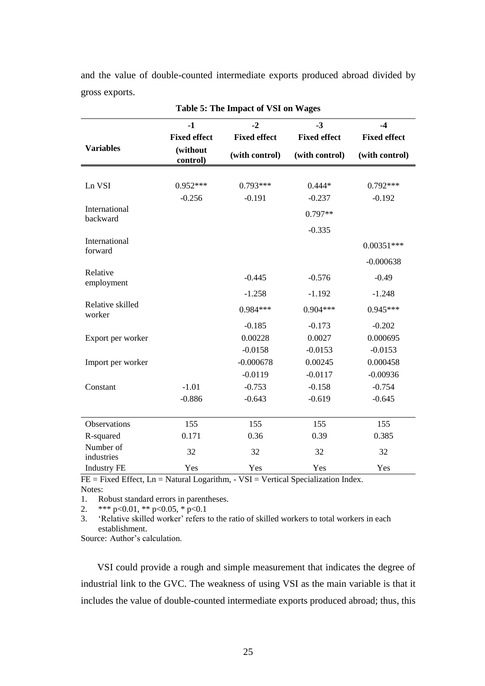| Table 5: The Impact of VSI on Wages |                      |                     |                     |                     |  |
|-------------------------------------|----------------------|---------------------|---------------------|---------------------|--|
|                                     | $-1$                 | $-2$                | $-3$                | $-4$                |  |
|                                     | <b>Fixed effect</b>  | <b>Fixed effect</b> | <b>Fixed effect</b> | <b>Fixed effect</b> |  |
| <b>Variables</b>                    | (without<br>control) | (with control)      | (with control)      | (with control)      |  |
|                                     |                      |                     |                     |                     |  |
| Ln VSI                              | $0.952***$           | $0.793***$          | $0.444*$            | $0.792***$          |  |
|                                     | $-0.256$             | $-0.191$            | $-0.237$            | $-0.192$            |  |
| International<br>backward           |                      |                     | $0.797**$           |                     |  |
|                                     |                      |                     | $-0.335$            |                     |  |
| International<br>forward            |                      |                     |                     | $0.00351***$        |  |
|                                     |                      |                     |                     | $-0.000638$         |  |
| Relative<br>employment              |                      | $-0.445$            | $-0.576$            | $-0.49$             |  |
|                                     |                      | $-1.258$            | $-1.192$            | $-1.248$            |  |
| Relative skilled<br>worker          |                      | $0.984***$          | $0.904***$          | $0.945***$          |  |
|                                     |                      | $-0.185$            | $-0.173$            | $-0.202$            |  |
| Export per worker                   |                      | 0.00228             | 0.0027              | 0.000695            |  |
|                                     |                      | $-0.0158$           | $-0.0153$           | $-0.0153$           |  |
| Import per worker                   |                      | $-0.000678$         | 0.00245             | 0.000458            |  |
|                                     |                      | $-0.0119$           | $-0.0117$           | $-0.00936$          |  |
| Constant                            | $-1.01$              | $-0.753$            | $-0.158$            | $-0.754$            |  |
|                                     | $-0.886$             | $-0.643$            | $-0.619$            | $-0.645$            |  |
|                                     |                      |                     |                     |                     |  |
| Observations                        | 155                  | 155                 | 155                 | 155                 |  |
| R-squared<br>Number of              | 0.171                | 0.36                | 0.39                | 0.385               |  |
| industries                          | 32                   | 32                  | 32                  | 32                  |  |
| <b>Industry FE</b>                  | Yes                  | Yes                 | Yes                 | Yes                 |  |

and the value of double-counted intermediate exports produced abroad divided by gross exports.

 $FE = Fixed Effect$ ,  $Ln = Natural Logarithm$ ,  $- VSI = Vertical Specialization Index$ . Notes:

1. Robust standard errors in parentheses.

2. \*\*\*  $p<0.01$ , \*\*  $p<0.05$ , \*  $p<0.1$ 

3. 'Relative skilled worker' refers to the ratio of skilled workers to total workers in each establishment.

Source: Author's calculation.

VSI could provide a rough and simple measurement that indicates the degree of industrial link to the GVC. The weakness of using VSI as the main variable is that it includes the value of double-counted intermediate exports produced abroad; thus, this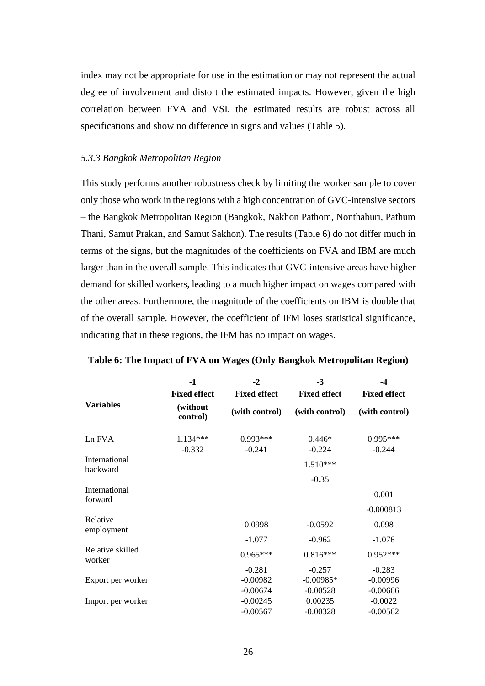index may not be appropriate for use in the estimation or may not represent the actual degree of involvement and distort the estimated impacts. However, given the high correlation between FVA and VSI, the estimated results are robust across all specifications and show no difference in signs and values (Table 5).

#### *5.3.3 Bangkok Metropolitan Region*

This study performs another robustness check by limiting the worker sample to cover only those who work in the regions with a high concentration of GVC-intensive sectors – the Bangkok Metropolitan Region (Bangkok, Nakhon Pathom, Nonthaburi, Pathum Thani, Samut Prakan, and Samut Sakhon). The results (Table 6) do not differ much in terms of the signs, but the magnitudes of the coefficients on FVA and IBM are much larger than in the overall sample. This indicates that GVC-intensive areas have higher demand for skilled workers, leading to a much higher impact on wages compared with the other areas. Furthermore, the magnitude of the coefficients on IBM is double that of the overall sample. However, the coefficient of IFM loses statistical significance, indicating that in these regions, the IFM has no impact on wages.

|                                  | $-1$                   | $-2$                   | $-3$                 | $-4$                   |
|----------------------------------|------------------------|------------------------|----------------------|------------------------|
|                                  | <b>Fixed effect</b>    | <b>Fixed effect</b>    | <b>Fixed effect</b>  | <b>Fixed effect</b>    |
| <b>Variables</b>                 | (without<br>control)   | (with control)         | (with control)       | (with control)         |
| Ln FVA                           | $1.134***$<br>$-0.332$ | $0.993***$<br>$-0.241$ | $0.446*$<br>$-0.224$ | $0.995***$<br>$-0.244$ |
| <b>International</b><br>backward |                        |                        | 1.510***             |                        |
|                                  |                        |                        | $-0.35$              |                        |
| International<br>forward         |                        |                        |                      | 0.001                  |
|                                  |                        |                        |                      | $-0.000813$            |
| Relative<br>employment           |                        | 0.0998                 | $-0.0592$            | 0.098                  |
|                                  |                        | $-1.077$               | $-0.962$             | $-1.076$               |
| Relative skilled<br>worker       |                        | $0.965***$             | $0.816***$           | $0.952***$             |
|                                  |                        | $-0.281$               | $-0.257$             | $-0.283$               |
| Export per worker                |                        | $-0.00982$             | $-0.00985*$          | $-0.00996$             |
|                                  |                        | $-0.00674$             | $-0.00528$           | $-0.00666$             |
| Import per worker                |                        | $-0.00245$             | 0.00235              | $-0.0022$              |
|                                  |                        | $-0.00567$             | $-0.00328$           | $-0.00562$             |

|  |  |  | Table 6: The Impact of FVA on Wages (Only Bangkok Metropolitan Region) |  |  |
|--|--|--|------------------------------------------------------------------------|--|--|
|  |  |  |                                                                        |  |  |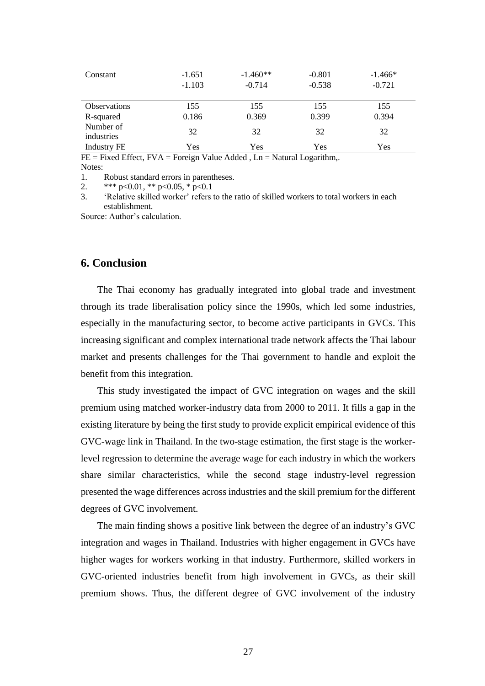| Constant                | $-1.651$<br>$-1.103$ | $-1.460**$<br>$-0.714$ | $-0.801$<br>$-0.538$ | $-1.466*$<br>$-0.721$ |
|-------------------------|----------------------|------------------------|----------------------|-----------------------|
| Observations            | 155                  | 155                    | 155                  | 155                   |
| R-squared               | 0.186                | 0.369                  | 0.399                | 0.394                 |
| Number of<br>industries | 32                   | 32                     | 32                   | 32                    |
| <b>Industry FE</b>      | Yes                  | Yes                    | Yes                  | Yes                   |

 $FE = Fixed Effect, FVA = Foreign Value added, Ln = Natural Logarithm$ . Notes:

1. Robust standard errors in parentheses.<br>2.  $*** n<0.01 ** n<0.05 * n<0.1$ 

\*\*\* p<0.01, \*\* p<0.05, \* p<0.1

3. 'Relative skilled worker' refers to the ratio of skilled workers to total workers in each establishment.

Source: Author's calculation.

# **6. Conclusion**

The Thai economy has gradually integrated into global trade and investment through its trade liberalisation policy since the 1990s, which led some industries, especially in the manufacturing sector, to become active participants in GVCs. This increasing significant and complex international trade network affects the Thai labour market and presents challenges for the Thai government to handle and exploit the benefit from this integration.

This study investigated the impact of GVC integration on wages and the skill premium using matched worker-industry data from 2000 to 2011. It fills a gap in the existing literature by being the first study to provide explicit empirical evidence of this GVC-wage link in Thailand. In the two-stage estimation, the first stage is the workerlevel regression to determine the average wage for each industry in which the workers share similar characteristics, while the second stage industry-level regression presented the wage differences across industries and the skill premium for the different degrees of GVC involvement.

The main finding shows a positive link between the degree of an industry's GVC integration and wages in Thailand. Industries with higher engagement in GVCs have higher wages for workers working in that industry. Furthermore, skilled workers in GVC-oriented industries benefit from high involvement in GVCs, as their skill premium shows. Thus, the different degree of GVC involvement of the industry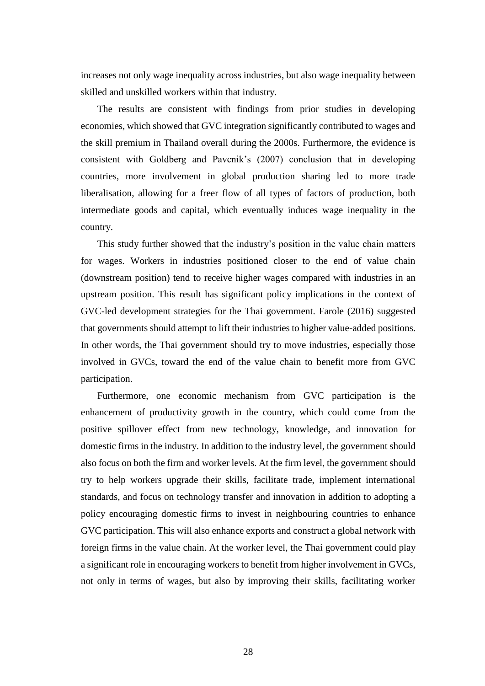increases not only wage inequality across industries, but also wage inequality between skilled and unskilled workers within that industry.

The results are consistent with findings from prior studies in developing economies, which showed that GVC integration significantly contributed to wages and the skill premium in Thailand overall during the 2000s. Furthermore, the evidence is consistent with Goldberg and Pavcnik's (2007) conclusion that in developing countries, more involvement in global production sharing led to more trade liberalisation, allowing for a freer flow of all types of factors of production, both intermediate goods and capital, which eventually induces wage inequality in the country.

This study further showed that the industry's position in the value chain matters for wages. Workers in industries positioned closer to the end of value chain (downstream position) tend to receive higher wages compared with industries in an upstream position. This result has significant policy implications in the context of GVC-led development strategies for the Thai government. Farole (2016) suggested that governments should attempt to lift their industries to higher value-added positions. In other words, the Thai government should try to move industries, especially those involved in GVCs, toward the end of the value chain to benefit more from GVC participation.

Furthermore, one economic mechanism from GVC participation is the enhancement of productivity growth in the country, which could come from the positive spillover effect from new technology, knowledge, and innovation for domestic firms in the industry. In addition to the industry level, the government should also focus on both the firm and worker levels. At the firm level, the government should try to help workers upgrade their skills, facilitate trade, implement international standards, and focus on technology transfer and innovation in addition to adopting a policy encouraging domestic firms to invest in neighbouring countries to enhance GVC participation. This will also enhance exports and construct a global network with foreign firms in the value chain. At the worker level, the Thai government could play a significant role in encouraging workers to benefit from higher involvement in GVCs, not only in terms of wages, but also by improving their skills, facilitating worker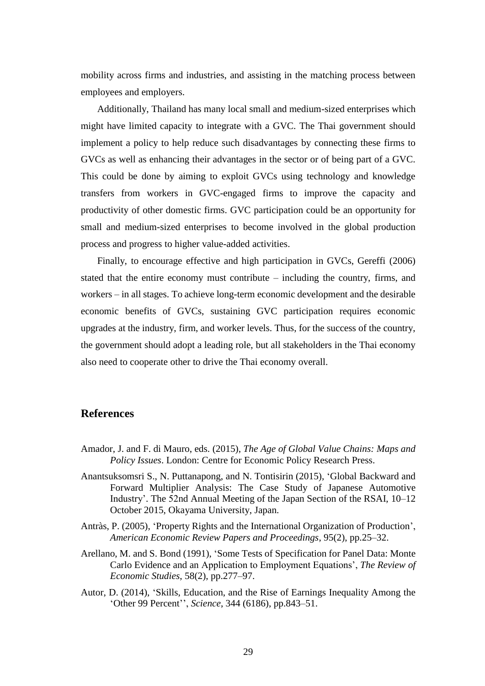mobility across firms and industries, and assisting in the matching process between employees and employers.

Additionally, Thailand has many local small and medium-sized enterprises which might have limited capacity to integrate with a GVC. The Thai government should implement a policy to help reduce such disadvantages by connecting these firms to GVCs as well as enhancing their advantages in the sector or of being part of a GVC. This could be done by aiming to exploit GVCs using technology and knowledge transfers from workers in GVC-engaged firms to improve the capacity and productivity of other domestic firms. GVC participation could be an opportunity for small and medium-sized enterprises to become involved in the global production process and progress to higher value-added activities.

Finally, to encourage effective and high participation in GVCs, Gereffi (2006) stated that the entire economy must contribute – including the country, firms, and workers – in all stages. To achieve long-term economic development and the desirable economic benefits of GVCs, sustaining GVC participation requires economic upgrades at the industry, firm, and worker levels. Thus, for the success of the country, the government should adopt a leading role, but all stakeholders in the Thai economy also need to cooperate other to drive the Thai economy overall.

## **References**

- Amador, J. and F. di Mauro, eds. (2015), *The Age of Global Value Chains: Maps and Policy Issues*. London: Centre for Economic Policy Research Press.
- Anantsuksomsri S., N. Puttanapong, and N. Tontisirin (2015), 'Global Backward and Forward Multiplier Analysis: The Case Study of Japanese Automotive Industry'. The 52nd Annual Meeting of the Japan Section of the RSAI, 10–12 October 2015, Okayama University, Japan.
- Antràs, P. (2005), 'Property Rights and the International Organization of Production', *American Economic Review Papers and Proceedings*, 95(2), pp.25–32.
- Arellano, M. and S. Bond (1991), 'Some Tests of Specification for Panel Data: Monte Carlo Evidence and an Application to Employment Equations', *The Review of Economic Studies*, 58(2), pp.277–97.
- Autor, D. (2014), 'Skills, Education, and the Rise of Earnings Inequality Among the 'Other 99 Percent'', *Science*, 344 (6186), pp.843–51.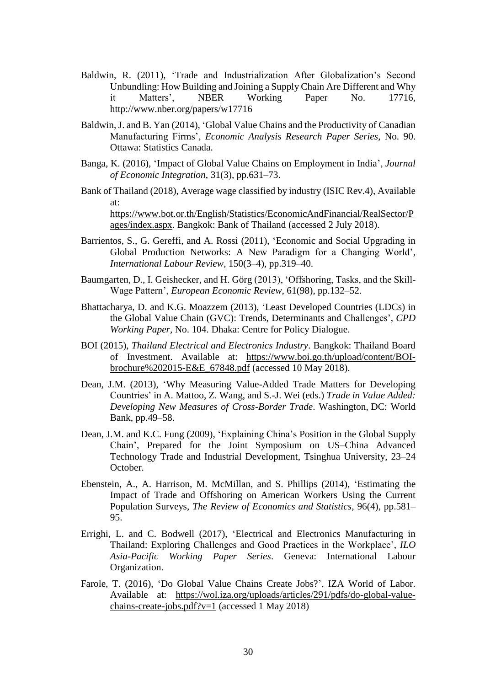- Baldwin, R. (2011), 'Trade and Industrialization After Globalization's Second Unbundling: How Building and Joining a Supply Chain Are Different and Why it Matters', NBER Working Paper No. 17716, http://www.nber.org/papers/w17716
- Baldwin, J. and B. Yan (2014), 'Global Value Chains and the Productivity of Canadian Manufacturing Firms', *Economic Analysis Research Paper Series*, No. 90. Ottawa: Statistics Canada.
- Banga, K. (2016), 'Impact of Global Value Chains on Employment in India', *Journal of Economic Integration*, 31(3), pp.631–73.
- Bank of Thailand (2018), Average wage classified by industry (ISIC Rev.4), Available at: [https://www.bot.or.th/English/Statistics/EconomicAndFinancial/RealSector/P](https://www.bot.or.th/English/Statistics/EconomicAndFinancial/RealSector/Pages/index.aspx) [ages/index.aspx.](https://www.bot.or.th/English/Statistics/EconomicAndFinancial/RealSector/Pages/index.aspx) Bangkok: Bank of Thailand (accessed 2 July 2018).
- Barrientos, S., G. Gereffi, and A. Rossi (2011), 'Economic and Social Upgrading in Global Production Networks: A New Paradigm for a Changing World', *International Labour Review*, 150(3–4), pp.319–40.
- Baumgarten, D., I. Geishecker, and H. Görg (2013), 'Offshoring, Tasks, and the Skill-Wage Pattern', *European Economic Review*, 61(98), pp.132–52.
- Bhattacharya, D. and K.G. Moazzem (2013), 'Least Developed Countries (LDCs) in the Global Value Chain (GVC): Trends, Determinants and Challenges', *CPD Working Paper,* No. 104. Dhaka: Centre for Policy Dialogue.
- BOI (2015), *Thailand Electrical and Electronics Industry*. Bangkok: Thailand Board of Investment. Available at: [https://www.boi.go.th/upload/content/BOI](https://www.boi.go.th/upload/content/BOI-brochure%202015-E&E_67848.pdf)[brochure%202015-E&E\\_67848.pdf](https://www.boi.go.th/upload/content/BOI-brochure%202015-E&E_67848.pdf) (accessed 10 May 2018).
- Dean, J.M. (2013), 'Why Measuring Value-Added Trade Matters for Developing Countries' in A. Mattoo, Z. Wang, and S.-J. Wei (eds.) *Trade in Value Added: Developing New Measures of Cross-Border Trade*. Washington, DC: World Bank, pp.49–58.
- Dean, J.M. and K.C. Fung (2009), 'Explaining China's Position in the Global Supply Chain', Prepared for the Joint Symposium on US–China Advanced Technology Trade and Industrial Development, Tsinghua University, 23–24 October.
- Ebenstein, A., A. Harrison, M. McMillan, and S. Phillips (2014), 'Estimating the Impact of Trade and Offshoring on American Workers Using the Current Population Surveys, *The Review of Economics and Statistics*, 96(4), pp.581– 95.
- Errighi, L. and C. Bodwell (2017), 'Electrical and Electronics Manufacturing in Thailand: Exploring Challenges and Good Practices in the Workplace', *ILO Asia-Pacific Working Paper Series*. Geneva: International Labour Organization.
- Farole, T. (2016), 'Do Global Value Chains Create Jobs?', IZA World of Labor. Available at: [https://wol.iza.org/uploads/articles/291/pdfs/do-global-value](https://wol.iza.org/uploads/articles/291/pdfs/do-global-value-chains-create-jobs.pdf?v=1)[chains-create-jobs.pdf?v=1](https://wol.iza.org/uploads/articles/291/pdfs/do-global-value-chains-create-jobs.pdf?v=1) (accessed 1 May 2018)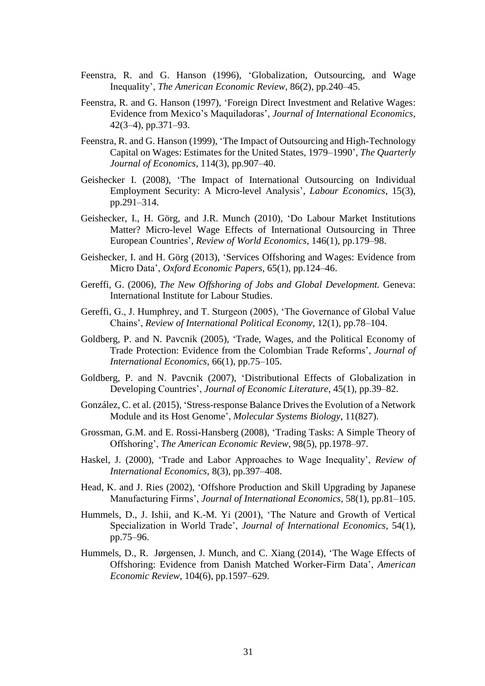- Feenstra, R. and G. Hanson (1996), 'Globalization, Outsourcing, and Wage Inequality', *The American Economic Review*, 86(2), pp.240–45.
- Feenstra, R. and G. Hanson (1997), 'Foreign Direct Investment and Relative Wages: Evidence from Mexico's Maquiladoras', *Journal of International Economics*, 42(3–4), pp.371–93.
- Feenstra, R. and G. Hanson (1999), 'The Impact of Outsourcing and High-Technology Capital on Wages: Estimates for the United States, 1979–1990', *The Quarterly Journal of Economics*, 114(3), pp.907–40.
- Geishecker I. (2008), 'The Impact of International Outsourcing on Individual Employment Security: A Micro-level Analysis', *Labour Economics*, 15(3), pp.291–314.
- Geishecker, I., H. Görg, and J.R. Munch (2010), 'Do Labour Market Institutions Matter? Micro-level Wage Effects of International Outsourcing in Three European Countries', *Review of World Economics*, 146(1), pp.179–98.
- Geishecker, I. and H. Görg (2013), 'Services Offshoring and Wages: Evidence from Micro Data', *Oxford Economic Papers*, 65(1), pp.124–46.
- Gereffi, G. (2006), *The New Offshoring of Jobs and Global Development.* Geneva: International Institute for Labour Studies.
- Gereffi, G., J. Humphrey, and T. Sturgeon (2005), 'The Governance of Global Value Chains', *Review of International Political Economy*, 12(1), pp.78–104.
- Goldberg, P. and N. Pavcnik (2005), 'Trade, Wages, and the Political Economy of Trade Protection: Evidence from the Colombian Trade Reforms', *Journal of International Economics*, 66(1), pp.75–105.
- Goldberg, P. and N. Pavcnik (2007), 'Distributional Effects of Globalization in Developing Countries', *Journal of Economic Literature*, 45(1), pp.39–82.
- González, C. et al. (2015), 'Stress-response Balance Drives the Evolution of a Network Module and its Host Genome', *Molecular Systems Biology*, 11(827).
- Grossman, G.M. and E. Rossi-Hansberg (2008), 'Trading Tasks: A Simple Theory of Offshoring', *The American Economic Review*, 98(5), pp.1978–97.
- Haskel, J. (2000), 'Trade and Labor Approaches to Wage Inequality', *Review of International Economics*, 8(3), pp.397–408.
- Head, K. and J. Ries (2002), 'Offshore Production and Skill Upgrading by Japanese Manufacturing Firms', *Journal of International Economics*, 58(1), pp.81–105.
- Hummels, D., J. Ishii, and K.-M. Yi (2001), 'The Nature and Growth of Vertical Specialization in World Trade', *Journal of International Economics,* 54(1), pp.75–96.
- Hummels, D., R. Jørgensen, J. Munch, and C. Xiang (2014), 'The Wage Effects of Offshoring: Evidence from Danish Matched Worker-Firm Data', *American Economic Review*, 104(6), pp.1597–629.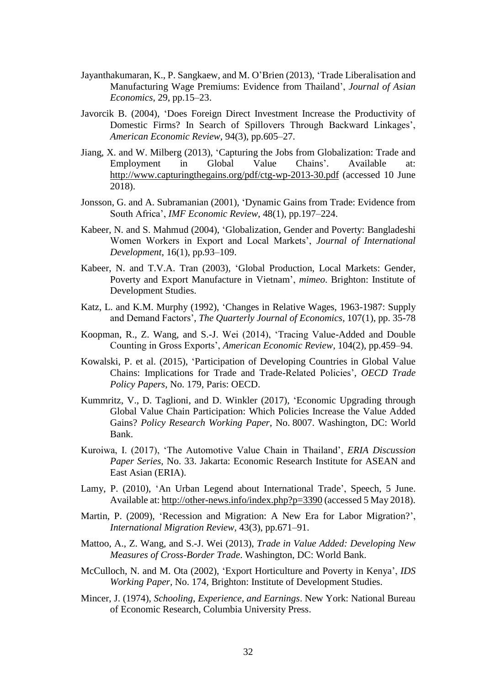- Jayanthakumaran*,* K., P. Sangkaew, and M. O'Brien (2013), 'Trade Liberalisation and Manufacturing Wage Premiums: Evidence from Thailand', *Journal of Asian Economics*, 29, pp.15–23.
- Javorcik B. (2004), 'Does Foreign Direct Investment Increase the Productivity of Domestic Firms? In Search of Spillovers Through Backward Linkages', *American Economic Review*, 94(3), pp.605–27.
- Jiang, X. and W. Milberg (2013), 'Capturing the Jobs from Globalization: Trade and Employment in Global Value Chains'. Available at: <http://www.capturingthegains.org/pdf/ctg-wp-2013-30.pdf> (accessed 10 June 2018).
- Jonsson, G. and A. Subramanian (2001), 'Dynamic Gains from Trade: Evidence from South Africa', *IMF Economic Review*, 48(1), pp.197–224.
- Kabeer, N. and S. Mahmud (2004), 'Globalization, Gender and Poverty: Bangladeshi Women Workers in Export and Local Markets', *Journal of International Development*, 16(1), pp.93–109.
- Kabeer, N. and T.V.A. Tran (2003), 'Global Production, Local Markets: Gender, Poverty and Export Manufacture in Vietnam', *mimeo*. Brighton: Institute of Development Studies.
- Katz, L. and K.M. Murphy (1992), 'Changes in Relative Wages, 1963-1987: Supply and Demand Factors', *The Quarterly Journal of Economics*, 107(1), pp. 35-78
- Koopman, R., Z. Wang, and S.-J. Wei (2014), 'Tracing Value-Added and Double Counting in Gross Exports', *American Economic Review*, 104(2), pp.459–94.
- Kowalski, P. et al. (2015), 'Participation of Developing Countries in Global Value Chains: Implications for Trade and Trade-Related Policies', *OECD Trade Policy Papers*, No. 179, Paris: OECD.
- Kummritz, V., D. Taglioni, and D. Winkler (2017), 'Economic Upgrading through Global Value Chain Participation: Which Policies Increase the Value Added Gains? *Policy Research Working Paper*, No. 8007. Washington, DC: World Bank.
- Kuroiwa, I. (2017), 'The Automotive Value Chain in Thailand', *ERIA Discussion Paper Series*, No. 33. Jakarta: Economic Research Institute for ASEAN and East Asian (ERIA).
- Lamy, P. (2010), 'An Urban Legend about International Trade', Speech, 5 June. Available at[: http://other-news.info/index.php?p=3390](http://other-news.info/index.php?p=3390) (accessed 5 May 2018).
- Martin, P. (2009), 'Recession and Migration: A New Era for Labor Migration?', *International Migration Review,* 43(3), pp.671–91.
- Mattoo, A., Z. Wang, and S.-J. Wei (2013), *Trade in Value Added: Developing New Measures of Cross-Border Trade*. Washington, DC: World Bank.
- McCulloch, N. and M. Ota (2002), 'Export Horticulture and Poverty in Kenya', *IDS Working Paper,* No. 174, Brighton: Institute of Development Studies.
- Mincer, J. (1974), *Schooling, Experience, and Earnings*. New York: National Bureau of Economic Research, Columbia University Press.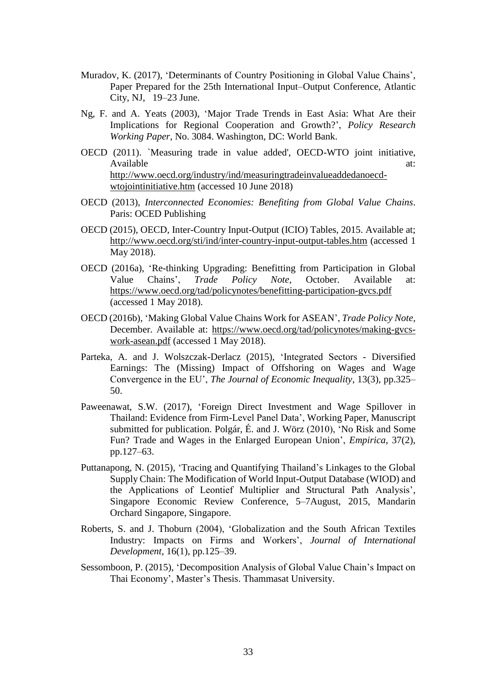- Muradov, K. (2017), 'Determinants of Country Positioning in Global Value Chains', Paper Prepared for the 25th International Input–Output Conference, Atlantic City, NJ, 19–23 June.
- Ng, F. and A. Yeats (2003), 'Major Trade Trends in East Asia: What Are their Implications for Regional Cooperation and Growth?', *Policy Research Working Paper*, No. 3084. Washington, DC: World Bank.
- OECD (2011). `Measuring trade in value added', OECD-WTO joint initiative, Available at:  $\overline{a}$  at:  $\overline{a}$  at:  $\overline{a}$  at:  $\overline{a}$  at:  $\overline{a}$ [http://www.oecd.org/industry/ind/measuringtradeinvalueaddedanoecd](http://www.oecd.org/industry/ind/measuringtradeinvalueaddedanoecd-wtojointinitiative.htm)[wtojointinitiative.htm](http://www.oecd.org/industry/ind/measuringtradeinvalueaddedanoecd-wtojointinitiative.htm) (accessed 10 June 2018)
- OECD (2013), *Interconnected Economies: Benefiting from Global Value Chains*. Paris: OCED Publishing
- OECD (2015), OECD, Inter-Country Input-Output (ICIO) Tables, 2015. Available at; <http://www.oecd.org/sti/ind/inter-country-input-output-tables.htm> (accessed 1 May 2018).
- OECD (2016a), 'Re-thinking Upgrading: Benefitting from Participation in Global Value Chains', *Trade Policy Note,* October. Available at: <https://www.oecd.org/tad/policynotes/benefitting-participation-gvcs.pdf> (accessed 1 May 2018).
- OECD (2016b), 'Making Global Value Chains Work for ASEAN', *Trade Policy Note,*  December. Available at: [https://www.oecd.org/tad/policynotes/making-gvcs](https://www.oecd.org/tad/policynotes/making-gvcs-work-asean.pdf)[work-asean.pdf](https://www.oecd.org/tad/policynotes/making-gvcs-work-asean.pdf) (accessed 1 May 2018).
- Parteka, A. and J. Wolszczak-Derlacz (2015), 'Integrated Sectors Diversified Earnings: The (Missing) Impact of Offshoring on Wages and Wage Convergence in the EU', *The Journal of Economic Inequality*, 13(3), pp.325– 50.
- Paweenawat, S.W. (2017), 'Foreign Direct Investment and Wage Spillover in Thailand: Evidence from Firm-Level Panel Data', Working Paper, Manuscript submitted for publication. Polgár, É. and J. Wörz (2010), 'No Risk and Some Fun? Trade and Wages in the Enlarged European Union', *Empirica*, 37(2), pp.127–63.
- Puttanapong, N. (2015), 'Tracing and Quantifying Thailand's Linkages to the Global Supply Chain: The Modification of World Input-Output Database (WIOD) and the Applications of Leontief Multiplier and Structural Path Analysis', Singapore Economic Review Conference, 5–7August, 2015, Mandarin Orchard Singapore, Singapore.
- Roberts, S. and J. Thoburn (2004), 'Globalization and the South African Textiles Industry: Impacts on Firms and Workers', *Journal of International Development*, 16(1), pp.125–39.
- Sessomboon, P. (2015), 'Decomposition Analysis of Global Value Chain's Impact on Thai Economy', Master's Thesis. Thammasat University.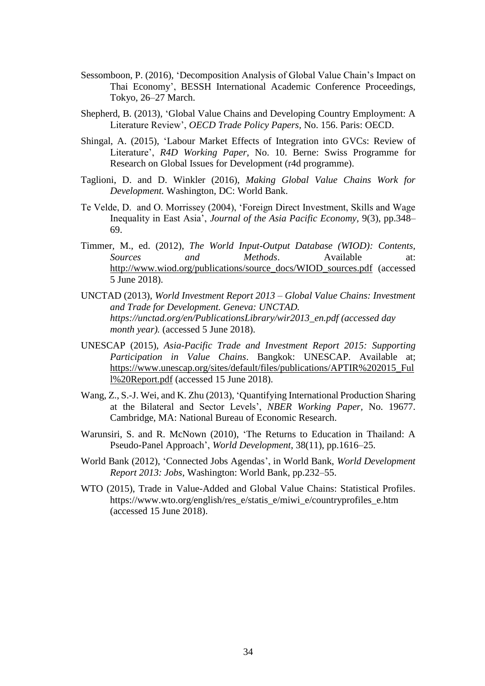- Sessomboon, P. (2016), 'Decomposition Analysis of Global Value Chain's Impact on Thai Economy', BESSH International Academic Conference Proceedings, Tokyo, 26–27 March.
- Shepherd, B. (2013), 'Global Value Chains and Developing Country Employment: A Literature Review', *OECD Trade Policy Papers,* No. 156. Paris: OECD.
- Shingal, A. (2015), 'Labour Market Effects of Integration into GVCs: Review of Literature', *R4D Working Paper,* No. 10. Berne: Swiss Programme for Research on Global Issues for Development (r4d programme).
- Taglioni, D. and D. Winkler (2016), *Making Global Value Chains Work for Development.* Washington, DC: World Bank.
- Te Velde, D. and O. Morrissey (2004), 'Foreign Direct Investment, Skills and Wage Inequality in East Asia', *Journal of the Asia Pacific Economy,* 9(3), pp.348– 69.
- Timmer, M., ed. (2012), *The World Input-Output Database (WIOD): Contents, Sources and Methods*. Available at: [http://www.wiod.org/publications/source\\_docs/WIOD\\_sources.pdf](http://www.wiod.org/publications/source_docs/WIOD_sources.pdf) (accessed 5 June 2018).
- UNCTAD (2013), *World Investment Report 2013 – Global Value Chains: Investment and Trade for Development. Geneva: UNCTAD. https://unctad.org/en/PublicationsLibrary/wir2013\_en.pdf (accessed day month year).* (accessed 5 June 2018).
- UNESCAP (2015), *Asia-Pacific Trade and Investment Report 2015: Supporting Participation in Value Chains*. Bangkok: UNESCAP. Available at; https://www.unescap.org/sites/default/files/publications/APTIR%202015\_Ful l%20Report.pdf (accessed 15 June 2018).
- Wang, Z., S.-J. Wei, and K. Zhu (2013), 'Quantifying International Production Sharing at the Bilateral and Sector Levels', *NBER Working Paper,* No. 19677. Cambridge, MA: National Bureau of Economic Research.
- Warunsiri, S. and R. McNown (2010), 'The Returns to Education in Thailand: A Pseudo-Panel Approach', *World Development*, 38(11), pp.1616–25.
- World Bank (2012), 'Connected Jobs Agendas', in World Bank, *World Development Report 2013: Jobs*, Washington: World Bank, pp.232–55.
- WTO (2015), Trade in Value-Added and Global Value Chains: Statistical Profiles. [https://www.wto.org/english/res\\_e/statis\\_e/miwi\\_e/countryprofiles\\_e.htm](https://www.wto.org/english/res_e/statis_e/miwi_e/countryprofiles_e.htm) (accessed 15 June 2018).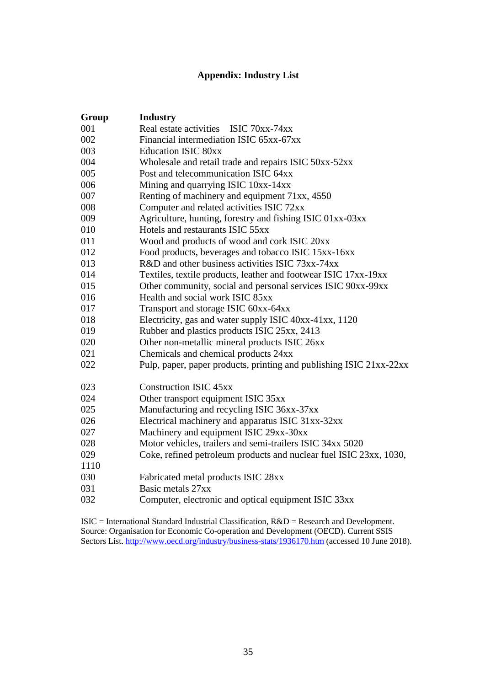# **Appendix: Industry List**

| Group | <b>Industry</b>                                                     |
|-------|---------------------------------------------------------------------|
| 001   | Real estate activities ISIC 70xx-74xx                               |
| 002   | Financial intermediation ISIC 65xx-67xx                             |
| 003   | <b>Education ISIC 80xx</b>                                          |
| 004   | Wholesale and retail trade and repairs ISIC 50xx-52xx               |
| 005   | Post and telecommunication ISIC 64xx                                |
| 006   | Mining and quarrying ISIC 10xx-14xx                                 |
| 007   | Renting of machinery and equipment 71xx, 4550                       |
| 008   | Computer and related activities ISIC 72xx                           |
| 009   | Agriculture, hunting, forestry and fishing ISIC 01xx-03xx           |
| 010   | Hotels and restaurants ISIC 55xx                                    |
| 011   | Wood and products of wood and cork ISIC 20xx                        |
| 012   | Food products, beverages and tobacco ISIC 15xx-16xx                 |
| 013   | R&D and other business activities ISIC 73xx-74xx                    |
| 014   | Textiles, textile products, leather and footwear ISIC 17xx-19xx     |
| 015   | Other community, social and personal services ISIC 90xx-99xx        |
| 016   | Health and social work ISIC 85xx                                    |
| 017   | Transport and storage ISIC 60xx-64xx                                |
| 018   | Electricity, gas and water supply ISIC 40xx-41xx, 1120              |
| 019   | Rubber and plastics products ISIC 25xx, 2413                        |
| 020   | Other non-metallic mineral products ISIC 26xx                       |
| 021   | Chemicals and chemical products 24xx                                |
| 022   | Pulp, paper, paper products, printing and publishing ISIC 21xx-22xx |
| 023   | <b>Construction ISIC 45xx</b>                                       |
| 024   | Other transport equipment ISIC 35xx                                 |
| 025   | Manufacturing and recycling ISIC 36xx-37xx                          |
| 026   | Electrical machinery and apparatus ISIC 31xx-32xx                   |
| 027   | Machinery and equipment ISIC 29xx-30xx                              |
| 028   | Motor vehicles, trailers and semi-trailers ISIC 34xx 5020           |
| 029   | Coke, refined petroleum products and nuclear fuel ISIC 23xx, 1030,  |
| 1110  |                                                                     |
| 030   | Fabricated metal products ISIC 28xx                                 |
| 031   | Basic metals 27xx                                                   |
| 032   | Computer, electronic and optical equipment ISIC 33xx                |

ISIC = International Standard Industrial Classification, R&D = Research and Development. Source: Organisation for Economic Co-operation and Development (OECD). Current SSIS Sectors List.<http://www.oecd.org/industry/business-stats/1936170.htm> (accessed 10 June 2018).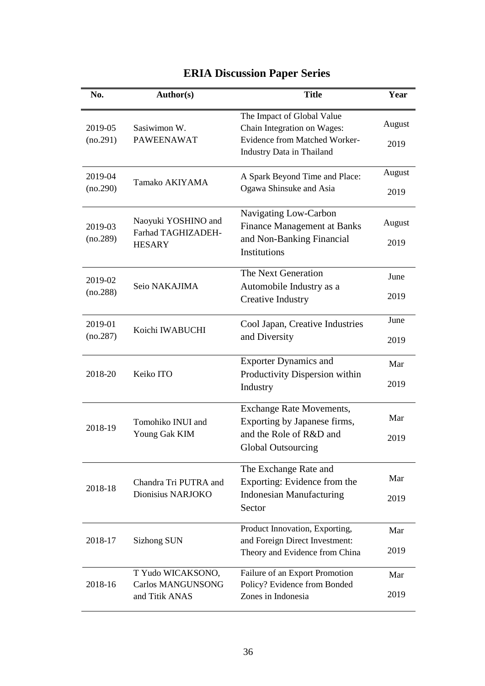| No.                 | <b>Author(s)</b>                                           | <b>Title</b>                                                                                                                   | Year           |
|---------------------|------------------------------------------------------------|--------------------------------------------------------------------------------------------------------------------------------|----------------|
| 2019-05<br>(no.291) | Sasiwimon W.<br><b>PAWEENAWAT</b>                          | The Impact of Global Value<br>Chain Integration on Wages:<br><b>Evidence from Matched Worker-</b><br>Industry Data in Thailand | August<br>2019 |
| 2019-04<br>(no.290) | Tamako AKIYAMA                                             | A Spark Beyond Time and Place:<br>Ogawa Shinsuke and Asia                                                                      | August<br>2019 |
| 2019-03<br>(no.289) | Naoyuki YOSHINO and<br>Farhad TAGHIZADEH-<br><b>HESARY</b> | Navigating Low-Carbon<br><b>Finance Management at Banks</b><br>and Non-Banking Financial<br><b>Institutions</b>                | August<br>2019 |
| 2019-02<br>(no.288) | Seio NAKAJIMA                                              | The Next Generation<br>Automobile Industry as a<br><b>Creative Industry</b>                                                    | June<br>2019   |
| 2019-01<br>(no.287) | Koichi IWABUCHI                                            | Cool Japan, Creative Industries<br>and Diversity                                                                               | June<br>2019   |
| 2018-20             | Keiko ITO                                                  | <b>Exporter Dynamics and</b><br>Productivity Dispersion within<br>Industry                                                     | Mar<br>2019    |
| 2018-19             | Tomohiko INUI and<br>Young Gak KIM                         | <b>Exchange Rate Movements,</b><br>Exporting by Japanese firms,<br>and the Role of R&D and<br><b>Global Outsourcing</b>        | Mar<br>2019    |
| 2018-18             | Chandra Tri PUTRA and<br>Dionisius NARJOKO                 | The Exchange Rate and<br>Exporting: Evidence from the<br><b>Indonesian Manufacturing</b><br>Sector                             | Mar<br>2019    |
| 2018-17             | Sizhong SUN                                                | Product Innovation, Exporting,<br>and Foreign Direct Investment:<br>Theory and Evidence from China                             | Mar<br>2019    |
| 2018-16             | T Yudo WICAKSONO,<br>Carlos MANGUNSONG<br>and Titik ANAS   | Failure of an Export Promotion<br>Policy? Evidence from Bonded<br>Zones in Indonesia                                           | Mar<br>2019    |

# **ERIA Discussion Paper Series**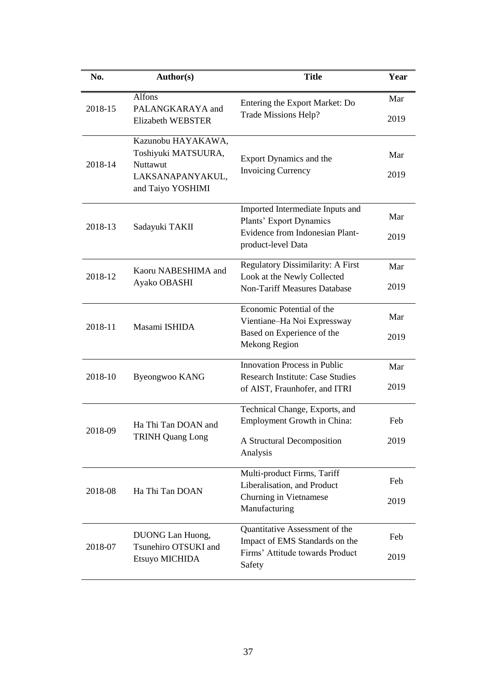| No.     | Author(s)                                                                                      | <b>Title</b>                                                                                                                | Year        |
|---------|------------------------------------------------------------------------------------------------|-----------------------------------------------------------------------------------------------------------------------------|-------------|
| 2018-15 | <b>Alfons</b><br>PALANGKARAYA and<br><b>Elizabeth WEBSTER</b>                                  | Entering the Export Market: Do<br><b>Trade Missions Help?</b>                                                               | Mar<br>2019 |
| 2018-14 | Kazunobu HAYAKAWA,<br>Toshiyuki MATSUURA,<br>Nuttawut<br>LAKSANAPANYAKUL,<br>and Taiyo YOSHIMI | <b>Export Dynamics and the</b><br><b>Invoicing Currency</b>                                                                 | Mar<br>2019 |
| 2018-13 | Sadayuki TAKII                                                                                 | Imported Intermediate Inputs and<br>Plants' Export Dynamics<br><b>Evidence from Indonesian Plant-</b><br>product-level Data | Mar<br>2019 |
| 2018-12 | Kaoru NABESHIMA and<br>Ayako OBASHI                                                            | <b>Regulatory Dissimilarity: A First</b><br>Look at the Newly Collected<br><b>Non-Tariff Measures Database</b>              | Mar<br>2019 |
| 2018-11 | Masami ISHIDA                                                                                  | Economic Potential of the<br>Vientiane-Ha Noi Expressway<br>Based on Experience of the<br><b>Mekong Region</b>              | Mar<br>2019 |
| 2018-10 | Byeongwoo KANG                                                                                 | <b>Innovation Process in Public</b><br><b>Research Institute: Case Studies</b><br>of AIST, Fraunhofer, and ITRI             | Mar<br>2019 |
| 2018-09 | Ha Thi Tan DOAN and<br><b>TRINH Quang Long</b>                                                 | Technical Change, Exports, and<br>Employment Growth in China:<br>A Structural Decomposition<br>Analysis                     | Feb<br>2019 |
| 2018-08 | Ha Thi Tan DOAN                                                                                | Multi-product Firms, Tariff<br>Liberalisation, and Product<br>Churning in Vietnamese<br>Manufacturing                       | Feb<br>2019 |
| 2018-07 | DUONG Lan Huong,<br>Tsunehiro OTSUKI and<br>Etsuyo MICHIDA                                     | Quantitative Assessment of the<br>Impact of EMS Standards on the<br>Firms' Attitude towards Product<br>Safety               | Feb<br>2019 |